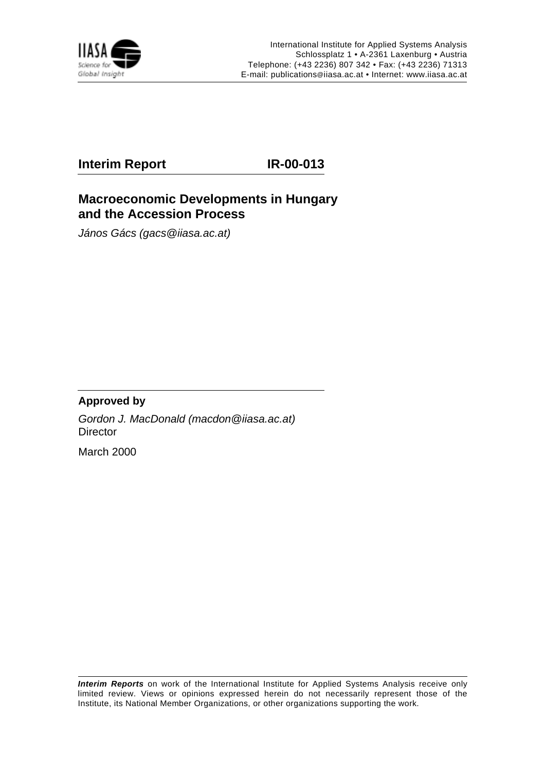

## **Interim Report IR-00-013**

## **Macroeconomic Developments in Hungary and the Accession Process**

János Gács (gacs@iiasa.ac.at)

## **Approved by**

Gordon J. MacDonald (macdon@iiasa.ac.at) **Director** 

March 2000

**Interim Reports** on work of the International Institute for Applied Systems Analysis receive only limited review. Views or opinions expressed herein do not necessarily represent those of the Institute, its National Member Organizations, or other organizations supporting the work.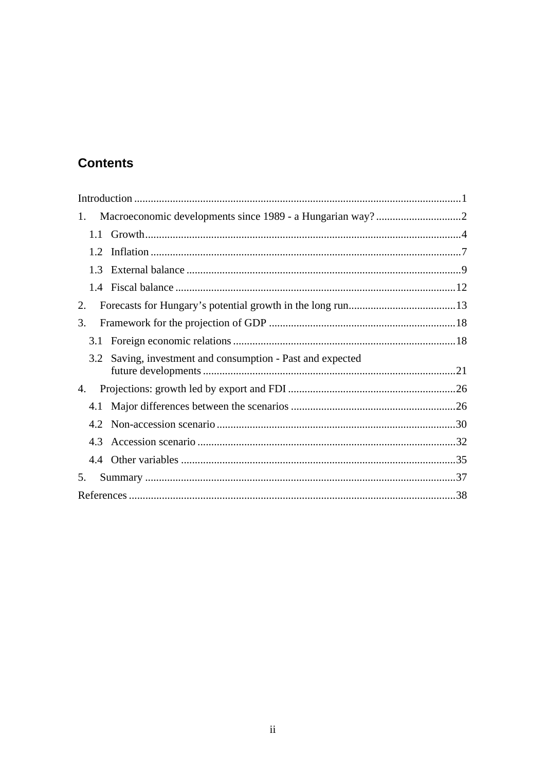# **Contents**

| 1. |     |                                                        |  |
|----|-----|--------------------------------------------------------|--|
|    |     |                                                        |  |
|    | 1.2 |                                                        |  |
|    | 1.3 |                                                        |  |
|    |     |                                                        |  |
| 2. |     |                                                        |  |
| 3. |     |                                                        |  |
|    | 3.1 |                                                        |  |
|    | 3.2 | Saving, investment and consumption - Past and expected |  |
| 4. |     |                                                        |  |
|    | 4.1 |                                                        |  |
|    | 4.2 |                                                        |  |
|    | 4.3 |                                                        |  |
|    |     |                                                        |  |
| 5. |     |                                                        |  |
|    |     |                                                        |  |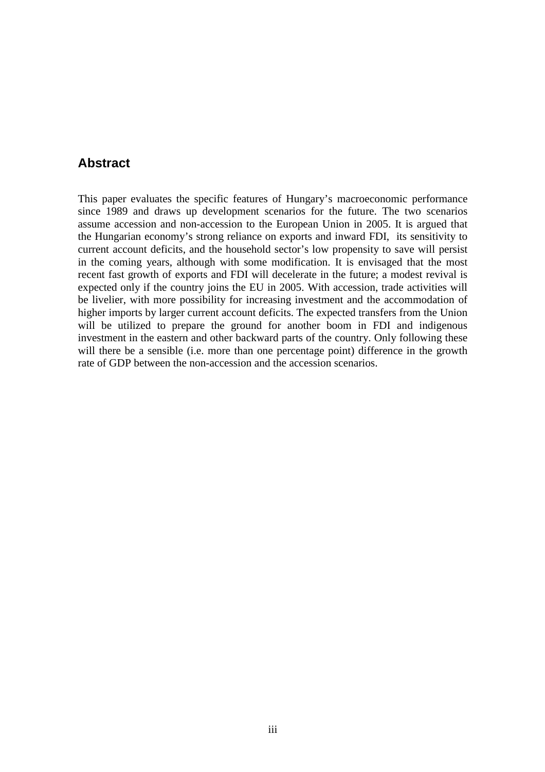## **Abstract**

This paper evaluates the specific features of Hungary's macroeconomic performance since 1989 and draws up development scenarios for the future. The two scenarios assume accession and non-accession to the European Union in 2005. It is argued that the Hungarian economy's strong reliance on exports and inward FDI, its sensitivity to current account deficits, and the household sector's low propensity to save will persist in the coming years, although with some modification. It is envisaged that the most recent fast growth of exports and FDI will decelerate in the future; a modest revival is expected only if the country joins the EU in 2005. With accession, trade activities will be livelier, with more possibility for increasing investment and the accommodation of higher imports by larger current account deficits. The expected transfers from the Union will be utilized to prepare the ground for another boom in FDI and indigenous investment in the eastern and other backward parts of the country. Only following these will there be a sensible (i.e. more than one percentage point) difference in the growth rate of GDP between the non-accession and the accession scenarios.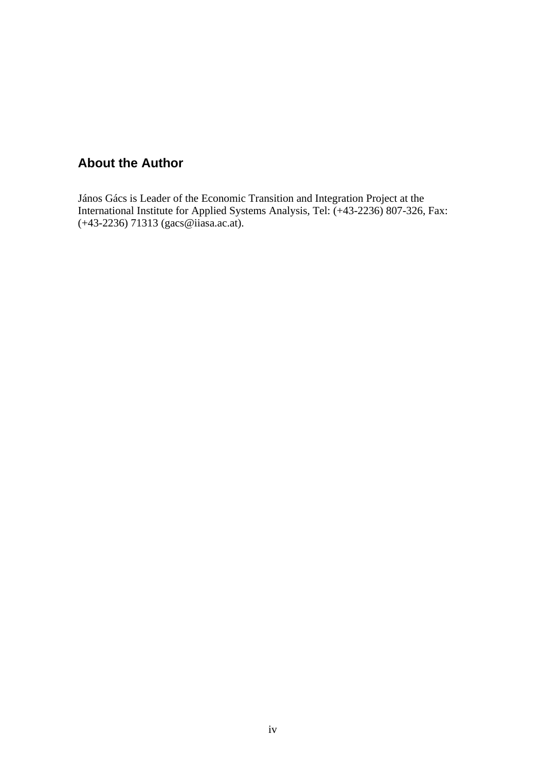# **About the Author**

János Gács is Leader of the Economic Transition and Integration Project at the International Institute for Applied Systems Analysis, Tel: (+43-2236) 807-326, Fax: (+43-2236) 71313 (gacs@iiasa.ac.at).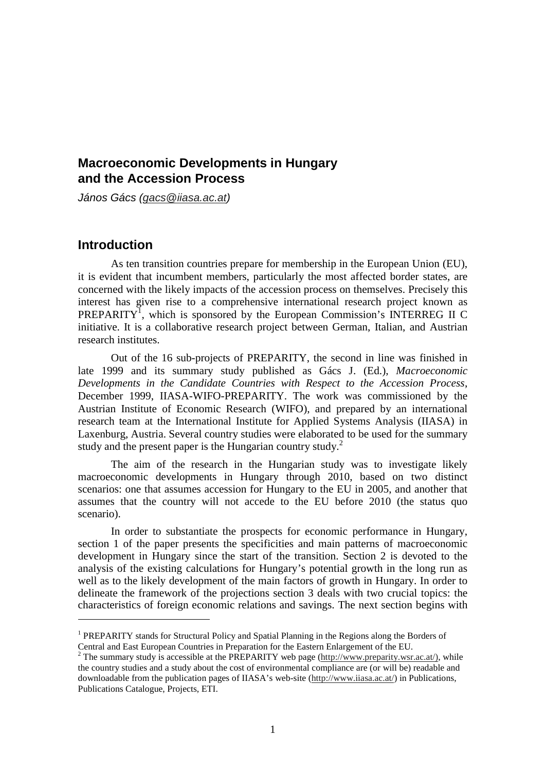## **Macroeconomic Developments in Hungary and the Accession Process**

János Gács (gacs @iiasa.ac.at)

## **Introduction**

 $\overline{a}$ 

As ten transition countries prepare for membership in the European Union (EU), it is evident that incumbent members, particularly the most affected border states, are concerned with the likely impacts of the accession process on themselves. Precisely this interest has given rise to a comprehensive international research project known as PREPARITY<sup>1</sup>, which is sponsored by the European Commission's INTERREG II C initiative. It is a collaborative research project between German, Italian, and Austrian research institutes.

Out of the 16 sub-projects of PREPARITY, the second in line was finished in late 1999 and its summary study published as Gács J. (Ed.), *Macroeconomic Developments in the Candidate Countries with Respect to the Accession Process*, December 1999, IIASA-WIFO-PREPARITY. The work was commissioned by the Austrian Institute of Economic Research (WIFO), and prepared by an international research team at the International Institute for Applied Systems Analysis (IIASA) in Laxenburg, Austria. Several country studies were elaborated to be used for the summary study and the present paper is the Hungarian country study.<sup>2</sup>

The aim of the research in the Hungarian study was to investigate likely macroeconomic developments in Hungary through 2010, based on two distinct scenarios: one that assumes accession for Hungary to the EU in 2005, and another that assumes that the country will not accede to the EU before 2010 (the status quo scenario).

In order to substantiate the prospects for economic performance in Hungary, section 1 of the paper presents the specificities and main patterns of macroeconomic development in Hungary since the start of the transition. Section 2 is devoted to the analysis of the existing calculations for Hungary's potential growth in the long run as well as to the likely development of the main factors of growth in Hungary. In order to delineate the framework of the projections section 3 deals with two crucial topics: the characteristics of foreign economic relations and savings. The next section begins with

<sup>&</sup>lt;sup>1</sup> PREPARITY stands for Structural Policy and Spatial Planning in the Regions along the Borders of

Central and East European Countries in Preparation for the Eastern Enlargement of the EU.<br><sup>2</sup> The summary study is accessible at the PREPARITY web page (http://www.preparity.wsr.ac.at/), while the country studies and a study about the cost of environmental compliance are (or will be) readable and downloadable from the publication pages of IIASA's web-site (http://www.iiasa.ac.at/) in Publications, Publications Catalogue, Projects, ETI.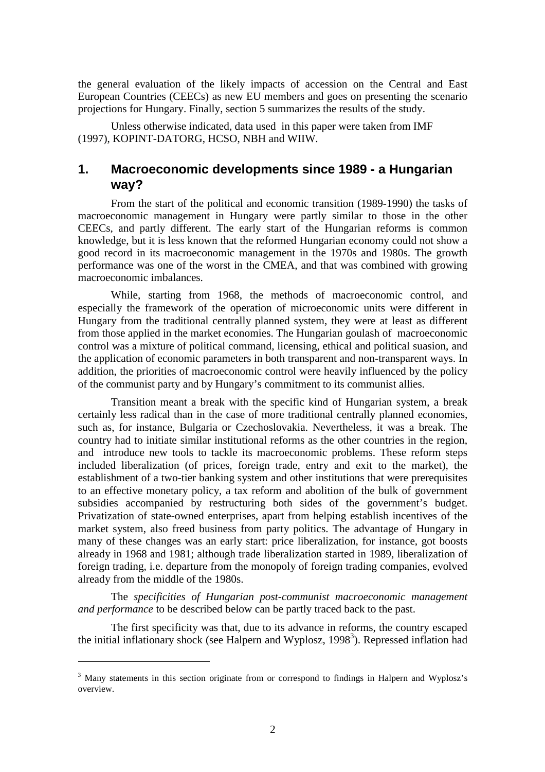the general evaluation of the likely impacts of accession on the Central and East European Countries (CEECs) as new EU members and goes on presenting the scenario projections for Hungary. Finally, section 5 summarizes the results of the study.

Unless otherwise indicated, data used in this paper were taken from IMF (1997), KOPINT-DATORG, HCSO, NBH and WIIW.

## **1. Macroeconomic developments since 1989 - a Hungarian way?**

From the start of the political and economic transition (1989-1990) the tasks of macroeconomic management in Hungary were partly similar to those in the other CEECs, and partly different. The early start of the Hungarian reforms is common knowledge, but it is less known that the reformed Hungarian economy could not show a good record in its macroeconomic management in the 1970s and 1980s. The growth performance was one of the worst in the CMEA, and that was combined with growing macroeconomic imbalances.

While, starting from 1968, the methods of macroeconomic control, and especially the framework of the operation of microeconomic units were different in Hungary from the traditional centrally planned system, they were at least as different from those applied in the market economies. The Hungarian goulash of macroeconomic control was a mixture of political command, licensing, ethical and political suasion, and the application of economic parameters in both transparent and non-transparent ways. In addition, the priorities of macroeconomic control were heavily influenced by the policy of the communist party and by Hungary's commitment to its communist allies.

Transition meant a break with the specific kind of Hungarian system, a break certainly less radical than in the case of more traditional centrally planned economies, such as, for instance, Bulgaria or Czechoslovakia. Nevertheless, it was a break. The country had to initiate similar institutional reforms as the other countries in the region, and introduce new tools to tackle its macroeconomic problems. These reform steps included liberalization (of prices, foreign trade, entry and exit to the market), the establishment of a two-tier banking system and other institutions that were prerequisites to an effective monetary policy, a tax reform and abolition of the bulk of government subsidies accompanied by restructuring both sides of the government's budget. Privatization of state-owned enterprises, apart from helping establish incentives of the market system, also freed business from party politics. The advantage of Hungary in many of these changes was an early start: price liberalization, for instance, got boosts already in 1968 and 1981; although trade liberalization started in 1989, liberalization of foreign trading, i.e. departure from the monopoly of foreign trading companies, evolved already from the middle of the 1980s.

The *specificities of Hungarian post-communist macroeconomic management and performance* to be described below can be partly traced back to the past.

The first specificity was that, due to its advance in reforms, the country escaped the initial inflationary shock (see Halpern and Wyplosz, 1998<sup>3</sup>). Repressed inflation had

 $\overline{a}$ 

<sup>&</sup>lt;sup>3</sup> Many statements in this section originate from or correspond to findings in Halpern and Wyplosz's overview.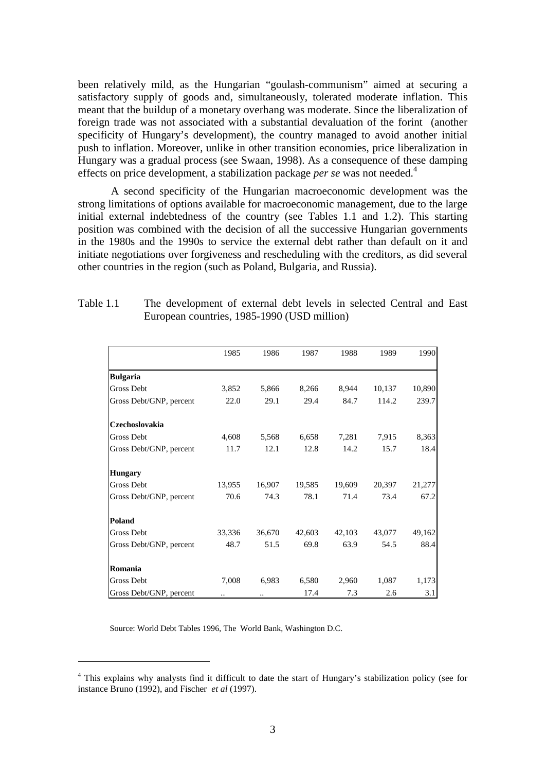been relatively mild, as the Hungarian "goulash-communism" aimed at securing a satisfactory supply of goods and, simultaneously, tolerated moderate inflation. This meant that the buildup of a monetary overhang was moderate. Since the liberalization of foreign trade was not associated with a substantial devaluation of the forint (another specificity of Hungary's development), the country managed to avoid another initial push to inflation. Moreover, unlike in other transition economies, price liberalization in Hungary was a gradual process (see Swaan, 1998). As a consequence of these damping effects on price development, a stabilization package *per se* was not needed.<sup>4</sup>

A second specificity of the Hungarian macroeconomic development was the strong limitations of options available for macroeconomic management, due to the large initial external indebtedness of the country (see Tables 1.1 and 1.2). This starting position was combined with the decision of all the successive Hungarian governments in the 1980s and the 1990s to service the external debt rather than default on it and initiate negotiations over forgiveness and rescheduling with the creditors, as did several other countries in the region (such as Poland, Bulgaria, and Russia).

|                         | 1985   | 1986   | 1987   | 1988   | 1989   | 1990   |
|-------------------------|--------|--------|--------|--------|--------|--------|
| <b>Bulgaria</b>         |        |        |        |        |        |        |
| <b>Gross Debt</b>       | 3,852  | 5,866  | 8,266  | 8,944  | 10,137 | 10,890 |
| Gross Debt/GNP, percent | 22.0   | 29.1   | 29.4   | 84.7   | 114.2  | 239.7  |
| Czechoslovakia          |        |        |        |        |        |        |
| Gross Debt              | 4,608  | 5,568  | 6,658  | 7,281  | 7,915  | 8,363  |
| Gross Debt/GNP, percent | 11.7   | 12.1   | 12.8   | 14.2   | 15.7   | 18.4   |
| <b>Hungary</b>          |        |        |        |        |        |        |
| Gross Debt              | 13,955 | 16,907 | 19,585 | 19,609 | 20,397 | 21,277 |
| Gross Debt/GNP, percent | 70.6   | 74.3   | 78.1   | 71.4   | 73.4   | 67.2   |
| Poland                  |        |        |        |        |        |        |
| Gross Debt              | 33,336 | 36,670 | 42,603 | 42,103 | 43,077 | 49,162 |
| Gross Debt/GNP, percent | 48.7   | 51.5   | 69.8   | 63.9   | 54.5   | 88.4   |
| Romania                 |        |        |        |        |        |        |
| Gross Debt              | 7,008  | 6,983  | 6,580  | 2,960  | 1,087  | 1,173  |
| Gross Debt/GNP, percent |        | ٠.     | 17.4   | 7.3    | 2.6    | 3.1    |

| Table 1.1 | The development of external debt levels in selected Central and East |
|-----------|----------------------------------------------------------------------|
|           | European countries, 1985-1990 (USD million)                          |

Source: World Debt Tables 1996, The World Bank, Washington D.C.

 $\overline{a}$ 

<sup>&</sup>lt;sup>4</sup> This explains why analysts find it difficult to date the start of Hungary's stabilization policy (see for instance Bruno (1992), and Fischer *et al* (1997).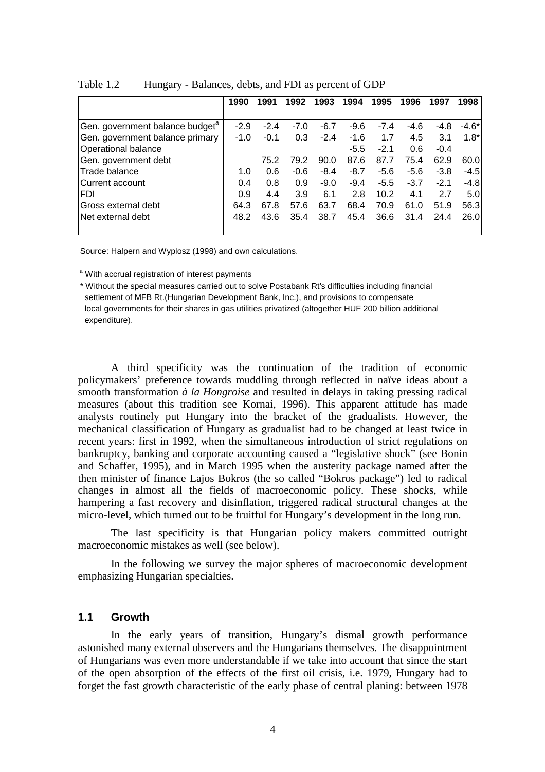| 1990 | 1991             | 1992             | 1993          | 1994             | 1995             | 1996          | 1997          | 1998        |
|------|------------------|------------------|---------------|------------------|------------------|---------------|---------------|-------------|
|      |                  |                  |               |                  |                  |               |               |             |
|      |                  |                  |               |                  |                  |               |               | $-4.6*$     |
|      |                  |                  |               |                  |                  |               |               | $1.8*$      |
|      |                  |                  |               | $-5.5$           | $-2.1$           | 0.6           | $-0.4$        |             |
|      | 75.2             | 79.2             | 90.0          | 87.6             | 87.7             | 75.4          | 62.9          | 60.0l       |
| 1.0  | 0.6              | $-0.6$           | $-8.4$        | $-8.7$           | $-5.6$           | $-5.6$        | $-3.8$        | $-4.5$      |
| 0.4  | 0.8              | 0.9              | $-9.0$        | $-9.4$           | $-5.5$           | $-3.7$        | $-2.1$        | $-4.8$      |
| 0.9  | 4.4              | 3.9              | 6.1           | 2.8              | 10.2             | 4.1           | 2.7           | 5.0         |
| 64.3 | 67.8             | 57.6             | 63.7          | 68.4             | 70.9             | 61.0          | 51.9          | 56.3        |
| 48.2 | 43.6             | 35.4             | 38.7          | 45.4             | 36.6             | 31.4          | 24.4          | 26.0        |
|      | $-2.9$<br>$-1.0$ | $-2.4$<br>$-0.1$ | $-7.0$<br>0.3 | $-6.7$<br>$-2.4$ | $-9.6$<br>$-1.6$ | $-7.4$<br>1.7 | $-4.6$<br>4.5 | -4.8<br>3.1 |

Table 1.2 Hungary - Balances, debts, and FDI as percent of GDP

Source: Halpern and Wyplosz (1998) and own calculations.

<sup>a</sup> With accrual registration of interest payments

\* Without the special measures carried out to solve Postabank Rt's difficulties including financial settlement of MFB Rt.(Hungarian Development Bank, Inc.), and provisions to compensate local governments for their shares in gas utilities privatized (altogether HUF 200 billion additional expenditure).

A third specificity was the continuation of the tradition of economic policymakers' preference towards muddling through reflected in naïve ideas about a smooth transformation *à la Hongroise* and resulted in delays in taking pressing radical measures (about this tradition see Kornai, 1996). This apparent attitude has made analysts routinely put Hungary into the bracket of the gradualists. However, the mechanical classification of Hungary as gradualist had to be changed at least twice in recent years: first in 1992, when the simultaneous introduction of strict regulations on bankruptcy, banking and corporate accounting caused a "legislative shock" (see Bonin and Schaffer, 1995), and in March 1995 when the austerity package named after the then minister of finance Lajos Bokros (the so called "Bokros package") led to radical changes in almost all the fields of macroeconomic policy. These shocks, while hampering a fast recovery and disinflation, triggered radical structural changes at the micro-level, which turned out to be fruitful for Hungary's development in the long run.

The last specificity is that Hungarian policy makers committed outright macroeconomic mistakes as well (see below).

In the following we survey the major spheres of macroeconomic development emphasizing Hungarian specialties.

## **1.1 Growth**

In the early years of transition, Hungary's dismal growth performance astonished many external observers and the Hungarians themselves. The disappointment of Hungarians was even more understandable if we take into account that since the start of the open absorption of the effects of the first oil crisis, i.e. 1979, Hungary had to forget the fast growth characteristic of the early phase of central planing: between 1978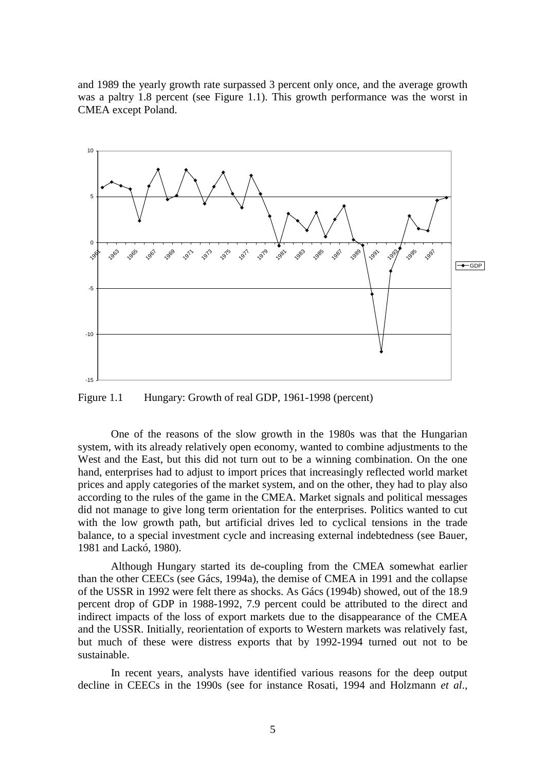and 1989 the yearly growth rate surpassed 3 percent only once, and the average growth was a paltry 1.8 percent (see Figure 1.1). This growth performance was the worst in CMEA except Poland.



Figure 1.1 Hungary: Growth of real GDP, 1961-1998 (percent)

One of the reasons of the slow growth in the 1980s was that the Hungarian system, with its already relatively open economy, wanted to combine adjustments to the West and the East, but this did not turn out to be a winning combination. On the one hand, enterprises had to adjust to import prices that increasingly reflected world market prices and apply categories of the market system, and on the other, they had to play also according to the rules of the game in the CMEA. Market signals and political messages did not manage to give long term orientation for the enterprises. Politics wanted to cut with the low growth path, but artificial drives led to cyclical tensions in the trade balance, to a special investment cycle and increasing external indebtedness (see Bauer, 1981 and Lackó, 1980).

Although Hungary started its de-coupling from the CMEA somewhat earlier than the other CEECs (see Gács, 1994a), the demise of CMEA in 1991 and the collapse of the USSR in 1992 were felt there as shocks. As Gács (1994b) showed, out of the 18.9 percent drop of GDP in 1988-1992, 7.9 percent could be attributed to the direct and indirect impacts of the loss of export markets due to the disappearance of the CMEA and the USSR. Initially, reorientation of exports to Western markets was relatively fast, but much of these were distress exports that by 1992-1994 turned out not to be sustainable.

In recent years, analysts have identified various reasons for the deep output decline in CEECs in the 1990s (see for instance Rosati, 1994 and Holzmann *et al*.,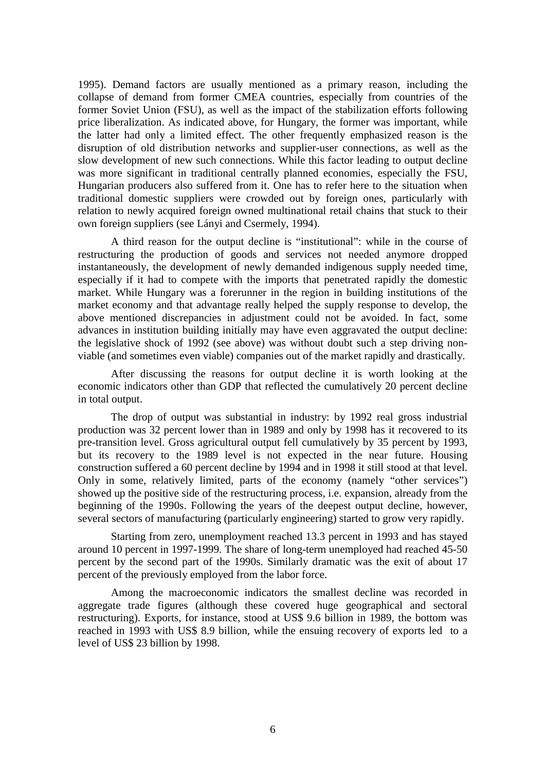1995). Demand factors are usually mentioned as a primary reason, including the collapse of demand from former CMEA countries, especially from countries of the former Soviet Union (FSU), as well as the impact of the stabilization efforts following price liberalization. As indicated above, for Hungary, the former was important, while the latter had only a limited effect. The other frequently emphasized reason is the disruption of old distribution networks and supplier-user connections, as well as the slow development of new such connections. While this factor leading to output decline was more significant in traditional centrally planned economies, especially the FSU, Hungarian producers also suffered from it. One has to refer here to the situation when traditional domestic suppliers were crowded out by foreign ones, particularly with relation to newly acquired foreign owned multinational retail chains that stuck to their own foreign suppliers (see Lányi and Csermely, 1994).

A third reason for the output decline is "institutional": while in the course of restructuring the production of goods and services not needed anymore dropped instantaneously, the development of newly demanded indigenous supply needed time, especially if it had to compete with the imports that penetrated rapidly the domestic market. While Hungary was a forerunner in the region in building institutions of the market economy and that advantage really helped the supply response to develop, the above mentioned discrepancies in adjustment could not be avoided. In fact, some advances in institution building initially may have even aggravated the output decline: the legislative shock of 1992 (see above) was without doubt such a step driving nonviable (and sometimes even viable) companies out of the market rapidly and drastically.

After discussing the reasons for output decline it is worth looking at the economic indicators other than GDP that reflected the cumulatively 20 percent decline in total output.

The drop of output was substantial in industry: by 1992 real gross industrial production was 32 percent lower than in 1989 and only by 1998 has it recovered to its pre-transition level. Gross agricultural output fell cumulatively by 35 percent by 1993, but its recovery to the 1989 level is not expected in the near future. Housing construction suffered a 60 percent decline by 1994 and in 1998 it still stood at that level. Only in some, relatively limited, parts of the economy (namely "other services") showed up the positive side of the restructuring process, i.e. expansion, already from the beginning of the 1990s. Following the years of the deepest output decline, however, several sectors of manufacturing (particularly engineering) started to grow very rapidly.

Starting from zero, unemployment reached 13.3 percent in 1993 and has stayed around 10 percent in 1997-1999. The share of long-term unemployed had reached 45-50 percent by the second part of the 1990s. Similarly dramatic was the exit of about 17 percent of the previously employed from the labor force.

Among the macroeconomic indicators the smallest decline was recorded in aggregate trade figures (although these covered huge geographical and sectoral restructuring). Exports, for instance, stood at US\$ 9.6 billion in 1989, the bottom was reached in 1993 with US\$ 8.9 billion, while the ensuing recovery of exports led to a level of US\$ 23 billion by 1998.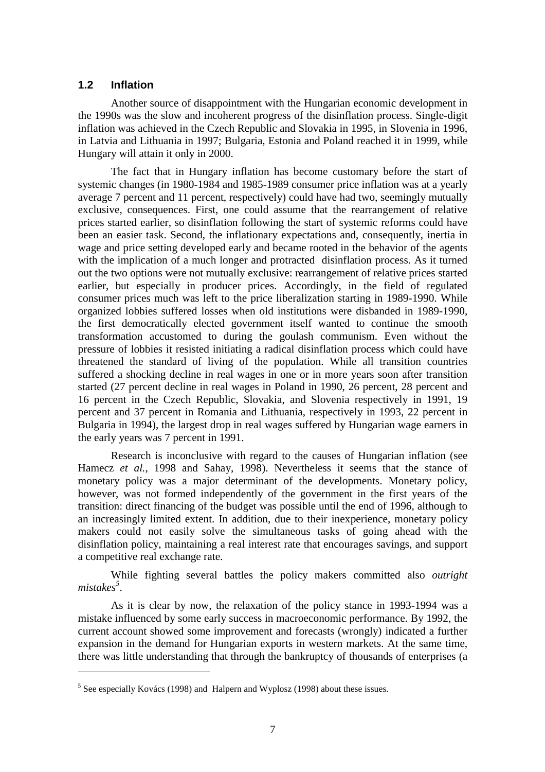### **1.2 Inflation**

 $\overline{a}$ 

Another source of disappointment with the Hungarian economic development in the 1990s was the slow and incoherent progress of the disinflation process. Single-digit inflation was achieved in the Czech Republic and Slovakia in 1995, in Slovenia in 1996, in Latvia and Lithuania in 1997; Bulgaria, Estonia and Poland reached it in 1999, while Hungary will attain it only in 2000.

The fact that in Hungary inflation has become customary before the start of systemic changes (in 1980-1984 and 1985-1989 consumer price inflation was at a yearly average 7 percent and 11 percent, respectively) could have had two, seemingly mutually exclusive, consequences. First, one could assume that the rearrangement of relative prices started earlier, so disinflation following the start of systemic reforms could have been an easier task. Second, the inflationary expectations and, consequently, inertia in wage and price setting developed early and became rooted in the behavior of the agents with the implication of a much longer and protracted disinflation process. As it turned out the two options were not mutually exclusive: rearrangement of relative prices started earlier, but especially in producer prices. Accordingly, in the field of regulated consumer prices much was left to the price liberalization starting in 1989-1990. While organized lobbies suffered losses when old institutions were disbanded in 1989-1990, the first democratically elected government itself wanted to continue the smooth transformation accustomed to during the goulash communism. Even without the pressure of lobbies it resisted initiating a radical disinflation process which could have threatened the standard of living of the population. While all transition countries suffered a shocking decline in real wages in one or in more years soon after transition started (27 percent decline in real wages in Poland in 1990, 26 percent, 28 percent and 16 percent in the Czech Republic, Slovakia, and Slovenia respectively in 1991, 19 percent and 37 percent in Romania and Lithuania, respectively in 1993, 22 percent in Bulgaria in 1994), the largest drop in real wages suffered by Hungarian wage earners in the early years was 7 percent in 1991.

Research is inconclusive with regard to the causes of Hungarian inflation (see Hamecz *et al.*, 1998 and Sahay, 1998). Nevertheless it seems that the stance of monetary policy was a major determinant of the developments. Monetary policy, however, was not formed independently of the government in the first years of the transition: direct financing of the budget was possible until the end of 1996, although to an increasingly limited extent. In addition, due to their inexperience, monetary policy makers could not easily solve the simultaneous tasks of going ahead with the disinflation policy, maintaining a real interest rate that encourages savings, and support a competitive real exchange rate.

While fighting several battles the policy makers committed also *outright mistakes<sup>5</sup>* .

As it is clear by now, the relaxation of the policy stance in 1993-1994 was a mistake influenced by some early success in macroeconomic performance. By 1992, the current account showed some improvement and forecasts (wrongly) indicated a further expansion in the demand for Hungarian exports in western markets. At the same time, there was little understanding that through the bankruptcy of thousands of enterprises (a

 $<sup>5</sup>$  See especially Kovács (1998) and Halpern and Wyplosz (1998) about these issues.</sup>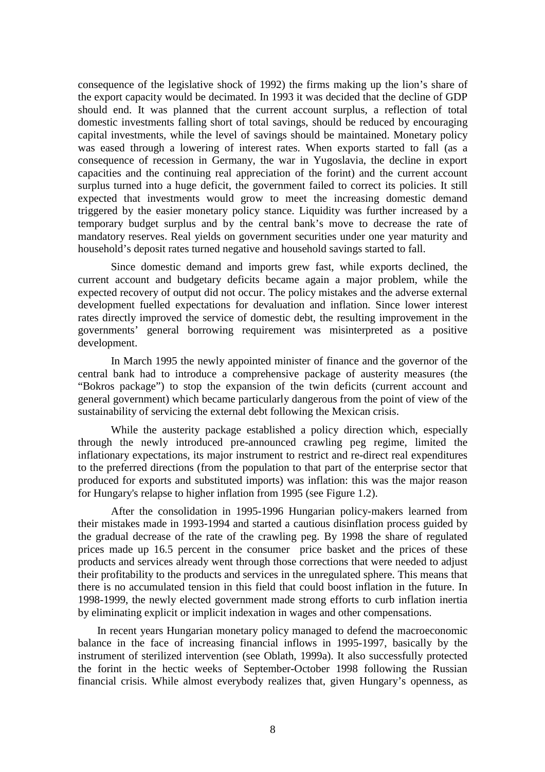consequence of the legislative shock of 1992) the firms making up the lion's share of the export capacity would be decimated. In 1993 it was decided that the decline of GDP should end. It was planned that the current account surplus, a reflection of total domestic investments falling short of total savings, should be reduced by encouraging capital investments, while the level of savings should be maintained. Monetary policy was eased through a lowering of interest rates. When exports started to fall (as a consequence of recession in Germany, the war in Yugoslavia, the decline in export capacities and the continuing real appreciation of the forint) and the current account surplus turned into a huge deficit, the government failed to correct its policies. It still expected that investments would grow to meet the increasing domestic demand triggered by the easier monetary policy stance. Liquidity was further increased by a temporary budget surplus and by the central bank's move to decrease the rate of mandatory reserves. Real yields on government securities under one year maturity and household's deposit rates turned negative and household savings started to fall.

Since domestic demand and imports grew fast, while exports declined, the current account and budgetary deficits became again a major problem, while the expected recovery of output did not occur. The policy mistakes and the adverse external development fuelled expectations for devaluation and inflation. Since lower interest rates directly improved the service of domestic debt, the resulting improvement in the governments' general borrowing requirement was misinterpreted as a positive development.

In March 1995 the newly appointed minister of finance and the governor of the central bank had to introduce a comprehensive package of austerity measures (the "Bokros package") to stop the expansion of the twin deficits (current account and general government) which became particularly dangerous from the point of view of the sustainability of servicing the external debt following the Mexican crisis.

While the austerity package established a policy direction which, especially through the newly introduced pre-announced crawling peg regime, limited the inflationary expectations, its major instrument to restrict and re-direct real expenditures to the preferred directions (from the population to that part of the enterprise sector that produced for exports and substituted imports) was inflation: this was the major reason for Hungary's relapse to higher inflation from 1995 (see Figure 1.2).

After the consolidation in 1995-1996 Hungarian policy-makers learned from their mistakes made in 1993-1994 and started a cautious disinflation process guided by the gradual decrease of the rate of the crawling peg. By 1998 the share of regulated prices made up 16.5 percent in the consumer price basket and the prices of these products and services already went through those corrections that were needed to adjust their profitability to the products and services in the unregulated sphere. This means that there is no accumulated tension in this field that could boost inflation in the future. In 1998-1999, the newly elected government made strong efforts to curb inflation inertia by eliminating explicit or implicit indexation in wages and other compensations.

In recent years Hungarian monetary policy managed to defend the macroeconomic balance in the face of increasing financial inflows in 1995-1997, basically by the instrument of sterilized intervention (see Oblath, 1999a). It also successfully protected the forint in the hectic weeks of September-October 1998 following the Russian financial crisis. While almost everybody realizes that, given Hungary's openness, as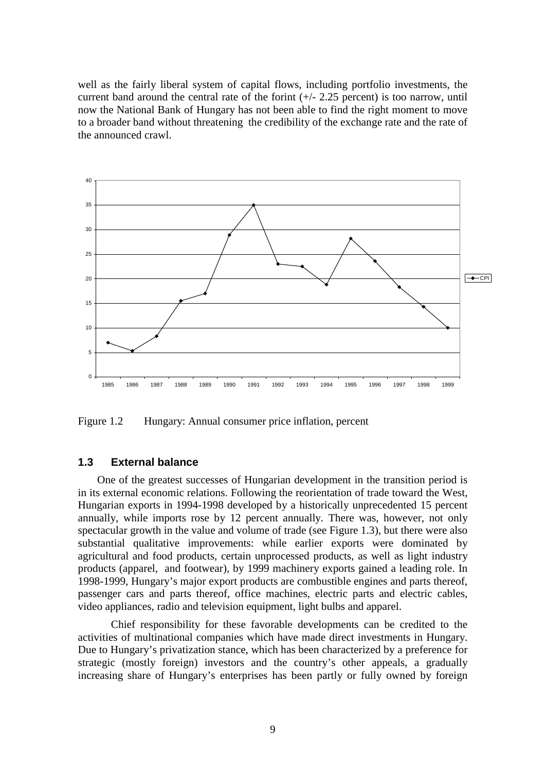well as the fairly liberal system of capital flows, including portfolio investments, the current band around the central rate of the forint  $(+/- 2.25$  percent) is too narrow, until now the National Bank of Hungary has not been able to find the right moment to move to a broader band without threatening the credibility of the exchange rate and the rate of the announced crawl.



Figure 1.2 Hungary: Annual consumer price inflation, percent

### **1.3 External balance**

One of the greatest successes of Hungarian development in the transition period is in its external economic relations. Following the reorientation of trade toward the West, Hungarian exports in 1994-1998 developed by a historically unprecedented 15 percent annually, while imports rose by 12 percent annually. There was, however, not only spectacular growth in the value and volume of trade (see Figure 1.3), but there were also substantial qualitative improvements: while earlier exports were dominated by agricultural and food products, certain unprocessed products, as well as light industry products (apparel, and footwear), by 1999 machinery exports gained a leading role. In 1998-1999, Hungary's major export products are combustible engines and parts thereof, passenger cars and parts thereof, office machines, electric parts and electric cables, video appliances, radio and television equipment, light bulbs and apparel.

Chief responsibility for these favorable developments can be credited to the activities of multinational companies which have made direct investments in Hungary. Due to Hungary's privatization stance, which has been characterized by a preference for strategic (mostly foreign) investors and the country's other appeals, a gradually increasing share of Hungary's enterprises has been partly or fully owned by foreign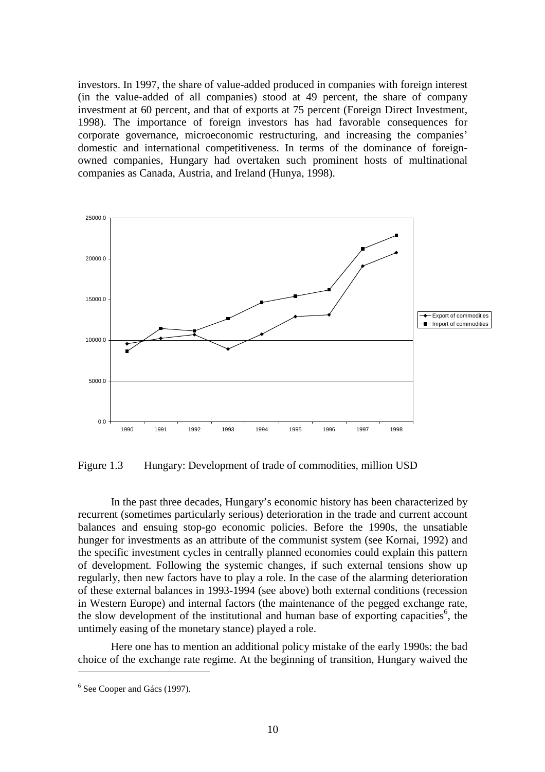investors. In 1997, the share of value-added produced in companies with foreign interest (in the value-added of all companies) stood at 49 percent, the share of company investment at 60 percent, and that of exports at 75 percent (Foreign Direct Investment, 1998). The importance of foreign investors has had favorable consequences for corporate governance, microeconomic restructuring, and increasing the companies' domestic and international competitiveness. In terms of the dominance of foreignowned companies, Hungary had overtaken such prominent hosts of multinational companies as Canada, Austria, and Ireland (Hunya, 1998).



Figure 1.3 Hungary: Development of trade of commodities, million USD

In the past three decades, Hungary's economic history has been characterized by recurrent (sometimes particularly serious) deterioration in the trade and current account balances and ensuing stop-go economic policies. Before the 1990s, the unsatiable hunger for investments as an attribute of the communist system (see Kornai, 1992) and the specific investment cycles in centrally planned economies could explain this pattern of development. Following the systemic changes, if such external tensions show up regularly, then new factors have to play a role. In the case of the alarming deterioration of these external balances in 1993-1994 (see above) both external conditions (recession in Western Europe) and internal factors (the maintenance of the pegged exchange rate, the slow development of the institutional and human base of exporting capacities<sup>6</sup>, the untimely easing of the monetary stance) played a role.

Here one has to mention an additional policy mistake of the early 1990s: the bad choice of the exchange rate regime. At the beginning of transition, Hungary waived the

 $\overline{a}$ 

<sup>&</sup>lt;sup>6</sup> See Cooper and Gács (1997).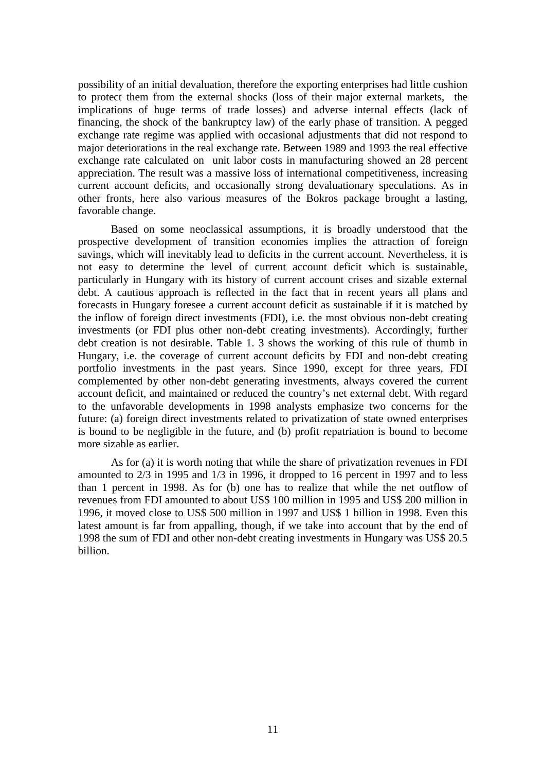possibility of an initial devaluation, therefore the exporting enterprises had little cushion to protect them from the external shocks (loss of their major external markets, the implications of huge terms of trade losses) and adverse internal effects (lack of financing, the shock of the bankruptcy law) of the early phase of transition. A pegged exchange rate regime was applied with occasional adjustments that did not respond to major deteriorations in the real exchange rate. Between 1989 and 1993 the real effective exchange rate calculated on unit labor costs in manufacturing showed an 28 percent appreciation. The result was a massive loss of international competitiveness, increasing current account deficits, and occasionally strong devaluationary speculations. As in other fronts, here also various measures of the Bokros package brought a lasting, favorable change.

Based on some neoclassical assumptions, it is broadly understood that the prospective development of transition economies implies the attraction of foreign savings, which will inevitably lead to deficits in the current account. Nevertheless, it is not easy to determine the level of current account deficit which is sustainable, particularly in Hungary with its history of current account crises and sizable external debt. A cautious approach is reflected in the fact that in recent years all plans and forecasts in Hungary foresee a current account deficit as sustainable if it is matched by the inflow of foreign direct investments (FDI), i.e. the most obvious non-debt creating investments (or FDI plus other non-debt creating investments). Accordingly, further debt creation is not desirable. Table 1. 3 shows the working of this rule of thumb in Hungary, i.e. the coverage of current account deficits by FDI and non-debt creating portfolio investments in the past years. Since 1990, except for three years, FDI complemented by other non-debt generating investments, always covered the current account deficit, and maintained or reduced the country's net external debt. With regard to the unfavorable developments in 1998 analysts emphasize two concerns for the future: (a) foreign direct investments related to privatization of state owned enterprises is bound to be negligible in the future, and (b) profit repatriation is bound to become more sizable as earlier.

As for (a) it is worth noting that while the share of privatization revenues in FDI amounted to 2/3 in 1995 and 1/3 in 1996, it dropped to 16 percent in 1997 and to less than 1 percent in 1998. As for (b) one has to realize that while the net outflow of revenues from FDI amounted to about US\$ 100 million in 1995 and US\$ 200 million in 1996, it moved close to US\$ 500 million in 1997 and US\$ 1 billion in 1998. Even this latest amount is far from appalling, though, if we take into account that by the end of 1998 the sum of FDI and other non-debt creating investments in Hungary was US\$ 20.5 billion.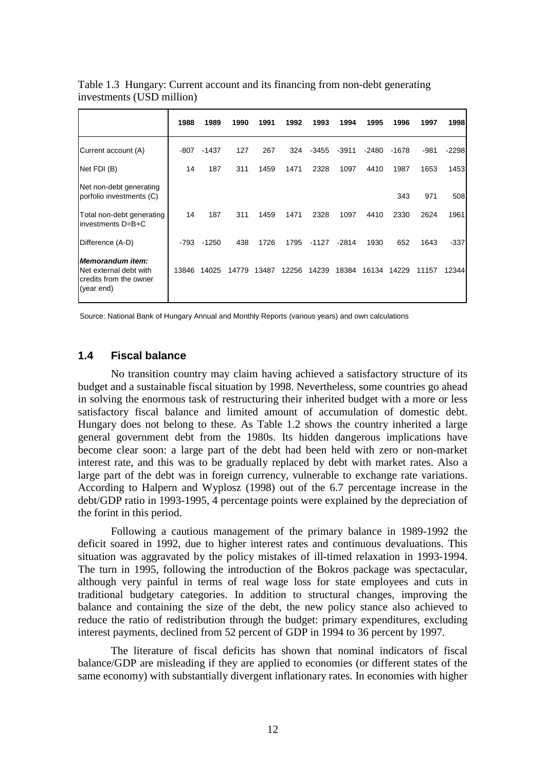|                                                                                           | 1988  | 1989    | 1990  | 1991  | 1992  | 1993    | 1994    | 1995  | 1996  | 1997  | 1998    |
|-------------------------------------------------------------------------------------------|-------|---------|-------|-------|-------|---------|---------|-------|-------|-------|---------|
| Current account (A)                                                                       | -807  | $-1437$ | 127   | 267   | 324   | -3455   | $-3911$ | -2480 | -1678 | -981  | $-2298$ |
| Net FDI (B)                                                                               | 14    | 187     | 311   | 1459  | 1471  | 2328    | 1097    | 4410  | 1987  | 1653  | 1453    |
| Net non-debt generating<br>porfolio investments (C)                                       |       |         |       |       |       |         |         |       | 343   | 971   | 508     |
| Total non-debt generating<br>investments D=B+C                                            | 14    | 187     | 311   | 1459  | 1471  | 2328    | 1097    | 4410  | 2330  | 2624  | 1961    |
| Difference (A-D)                                                                          | -793  | $-1250$ | 438   | 1726  | 1795  | $-1127$ | $-2814$ | 1930  | 652   | 1643  | $-337$  |
| <b>Memorandum item:</b><br>Net external debt with<br>credits from the owner<br>(year end) | 13846 | 14025   | 14779 | 13487 | 12256 | 14239   | 18384   | 16134 | 14229 | 11157 | 12344   |

Table 1.3 Hungary: Current account and its financing from non-debt generating investments (USD million)

Source: National Bank of Hungary Annual and Monthly Reports (various years) and own calculations

## **1.4 Fiscal balance**

No transition country may claim having achieved a satisfactory structure of its budget and a sustainable fiscal situation by 1998. Nevertheless, some countries go ahead in solving the enormous task of restructuring their inherited budget with a more or less satisfactory fiscal balance and limited amount of accumulation of domestic debt. Hungary does not belong to these. As Table 1.2 shows the country inherited a large general government debt from the 1980s. Its hidden dangerous implications have become clear soon: a large part of the debt had been held with zero or non-market interest rate, and this was to be gradually replaced by debt with market rates. Also a large part of the debt was in foreign currency, vulnerable to exchange rate variations. According to Halpern and Wyplosz (1998) out of the 6.7 percentage increase in the debt/GDP ratio in 1993-1995, 4 percentage points were explained by the depreciation of the forint in this period.

Following a cautious management of the primary balance in 1989-1992 the deficit soared in 1992, due to higher interest rates and continuous devaluations. This situation was aggravated by the policy mistakes of ill-timed relaxation in 1993-1994. The turn in 1995, following the introduction of the Bokros package was spectacular, although very painful in terms of real wage loss for state employees and cuts in traditional budgetary categories. In addition to structural changes, improving the balance and containing the size of the debt, the new policy stance also achieved to reduce the ratio of redistribution through the budget: primary expenditures, excluding interest payments, declined from 52 percent of GDP in 1994 to 36 percent by 1997.

The literature of fiscal deficits has shown that nominal indicators of fiscal balance/GDP are misleading if they are applied to economies (or different states of the same economy) with substantially divergent inflationary rates. In economies with higher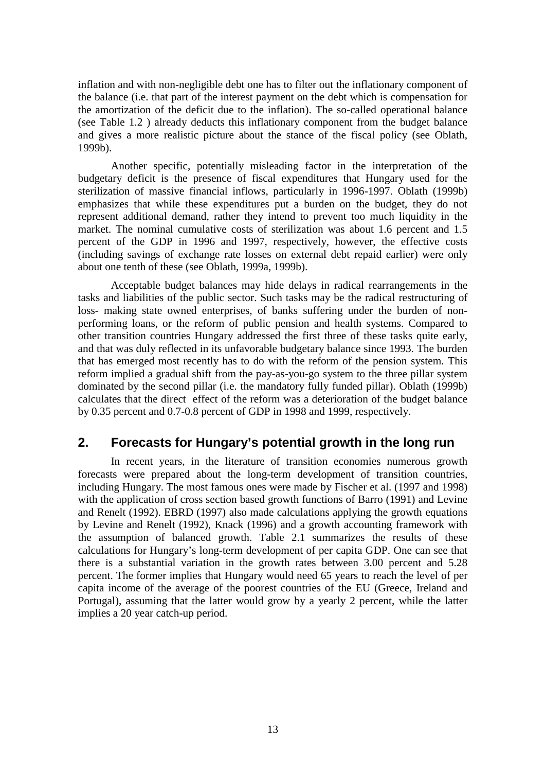inflation and with non-negligible debt one has to filter out the inflationary component of the balance (i.e. that part of the interest payment on the debt which is compensation for the amortization of the deficit due to the inflation). The so-called operational balance (see Table 1.2 ) already deducts this inflationary component from the budget balance and gives a more realistic picture about the stance of the fiscal policy (see Oblath, 1999b).

Another specific, potentially misleading factor in the interpretation of the budgetary deficit is the presence of fiscal expenditures that Hungary used for the sterilization of massive financial inflows, particularly in 1996-1997. Oblath (1999b) emphasizes that while these expenditures put a burden on the budget, they do not represent additional demand, rather they intend to prevent too much liquidity in the market. The nominal cumulative costs of sterilization was about 1.6 percent and 1.5 percent of the GDP in 1996 and 1997, respectively, however, the effective costs (including savings of exchange rate losses on external debt repaid earlier) were only about one tenth of these (see Oblath, 1999a, 1999b).

Acceptable budget balances may hide delays in radical rearrangements in the tasks and liabilities of the public sector. Such tasks may be the radical restructuring of loss- making state owned enterprises, of banks suffering under the burden of nonperforming loans, or the reform of public pension and health systems. Compared to other transition countries Hungary addressed the first three of these tasks quite early, and that was duly reflected in its unfavorable budgetary balance since 1993. The burden that has emerged most recently has to do with the reform of the pension system. This reform implied a gradual shift from the pay-as-you-go system to the three pillar system dominated by the second pillar (i.e. the mandatory fully funded pillar). Oblath (1999b) calculates that the direct effect of the reform was a deterioration of the budget balance by 0.35 percent and 0.7-0.8 percent of GDP in 1998 and 1999, respectively.

## **2. Forecasts for Hungary's potential growth in the long run**

In recent years, in the literature of transition economies numerous growth forecasts were prepared about the long-term development of transition countries, including Hungary. The most famous ones were made by Fischer et al. (1997 and 1998) with the application of cross section based growth functions of Barro (1991) and Levine and Renelt (1992). EBRD (1997) also made calculations applying the growth equations by Levine and Renelt (1992), Knack (1996) and a growth accounting framework with the assumption of balanced growth. Table 2.1 summarizes the results of these calculations for Hungary's long-term development of per capita GDP. One can see that there is a substantial variation in the growth rates between 3.00 percent and 5.28 percent. The former implies that Hungary would need 65 years to reach the level of per capita income of the average of the poorest countries of the EU (Greece, Ireland and Portugal), assuming that the latter would grow by a yearly 2 percent, while the latter implies a 20 year catch-up period.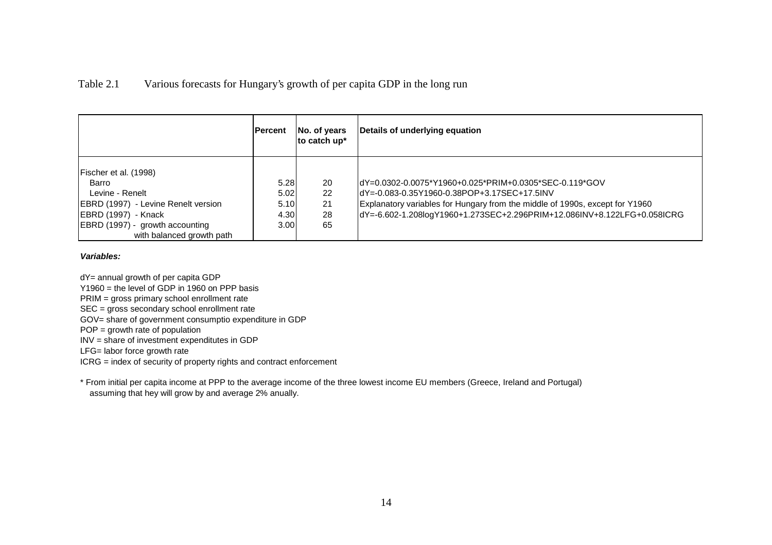### Table 2.1 Various forecasts for Hungary's growth of per capita GDP in the long run

|                                                                                                                                                                                 | <b>IPercent</b>                       | No. of years<br>to catch up* | Details of underlying equation                                                                                                                                                                                                                                    |
|---------------------------------------------------------------------------------------------------------------------------------------------------------------------------------|---------------------------------------|------------------------------|-------------------------------------------------------------------------------------------------------------------------------------------------------------------------------------------------------------------------------------------------------------------|
| Fischer et al. (1998)<br>Barro<br>Levine - Renelt<br>EBRD (1997) - Levine Renelt version<br>EBRD (1997) - Knack<br>EBRD (1997) - growth accounting<br>with balanced growth path | 5.28<br>5.02<br>5.10<br>4.30<br>3.001 | 20<br>22<br>21<br>28<br>65   | dY=0.0302-0.0075*Y1960+0.025*PRIM+0.0305*SEC-0.119*GOV<br>JdY=-0.083-0.35Y1960-0.38POP+3.17SEC+17.5INV<br>Explanatory variables for Hungary from the middle of 1990s, except for Y1960<br>dY=-6.602-1.208logY1960+1.273SEC+2.296PRIM+12.086INV+8.122LFG+0.058ICRG |

#### **Variables:**

dY= annual growth of per capita GDP

Y1960 = the level of GDP in 1960 on PPP basis

PRIM = gross primary school enrollment rate

SEC = gross secondary school enrollment rate

GOV= share of government consumptio expenditure in GDP

POP = growth rate of population

INV = share of investment expenditutes in GDP

LFG= labor force growth rate

ICRG = index of security of property rights and contract enforcement

\* From initial per capita income at PPP to the average income of the three lowest income EU members (Greece, Ireland and Portugal) assuming that hey will grow by and average 2% anually.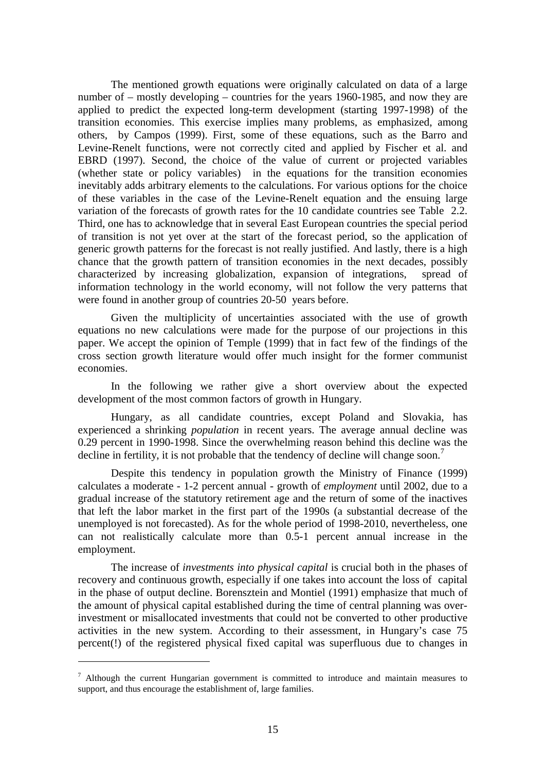The mentioned growth equations were originally calculated on data of a large number of – mostly developing – countries for the years 1960-1985, and now they are applied to predict the expected long-term development (starting 1997-1998) of the transition economies. This exercise implies many problems, as emphasized, among others, by Campos (1999). First, some of these equations, such as the Barro and Levine-Renelt functions, were not correctly cited and applied by Fischer et al. and EBRD (1997). Second, the choice of the value of current or projected variables (whether state or policy variables) in the equations for the transition economies inevitably adds arbitrary elements to the calculations. For various options for the choice of these variables in the case of the Levine-Renelt equation and the ensuing large variation of the forecasts of growth rates for the 10 candidate countries see Table 2.2. Third, one has to acknowledge that in several East European countries the special period of transition is not yet over at the start of the forecast period, so the application of generic growth patterns for the forecast is not really justified. And lastly, there is a high chance that the growth pattern of transition economies in the next decades, possibly characterized by increasing globalization, expansion of integrations, spread of information technology in the world economy, will not follow the very patterns that were found in another group of countries 20-50 years before.

Given the multiplicity of uncertainties associated with the use of growth equations no new calculations were made for the purpose of our projections in this paper. We accept the opinion of Temple (1999) that in fact few of the findings of the cross section growth literature would offer much insight for the former communist economies.

In the following we rather give a short overview about the expected development of the most common factors of growth in Hungary.

Hungary, as all candidate countries, except Poland and Slovakia, has experienced a shrinking *population* in recent years. The average annual decline was 0.29 percent in 1990-1998. Since the overwhelming reason behind this decline was the decline in fertility, it is not probable that the tendency of decline will change soon.<sup>7</sup>

Despite this tendency in population growth the Ministry of Finance (1999) calculates a moderate - 1-2 percent annual - growth of *employment* until 2002, due to a gradual increase of the statutory retirement age and the return of some of the inactives that left the labor market in the first part of the 1990s (a substantial decrease of the unemployed is not forecasted). As for the whole period of 1998-2010, nevertheless, one can not realistically calculate more than 0.5-1 percent annual increase in the employment.

The increase of *investments into physical capital* is crucial both in the phases of recovery and continuous growth, especially if one takes into account the loss of capital in the phase of output decline. Borensztein and Montiel (1991) emphasize that much of the amount of physical capital established during the time of central planning was overinvestment or misallocated investments that could not be converted to other productive activities in the new system. According to their assessment, in Hungary's case 75 percent(!) of the registered physical fixed capital was superfluous due to changes in

 $\overline{a}$ 

 $<sup>7</sup>$  Although the current Hungarian government is committed to introduce and maintain measures to</sup> support, and thus encourage the establishment of, large families.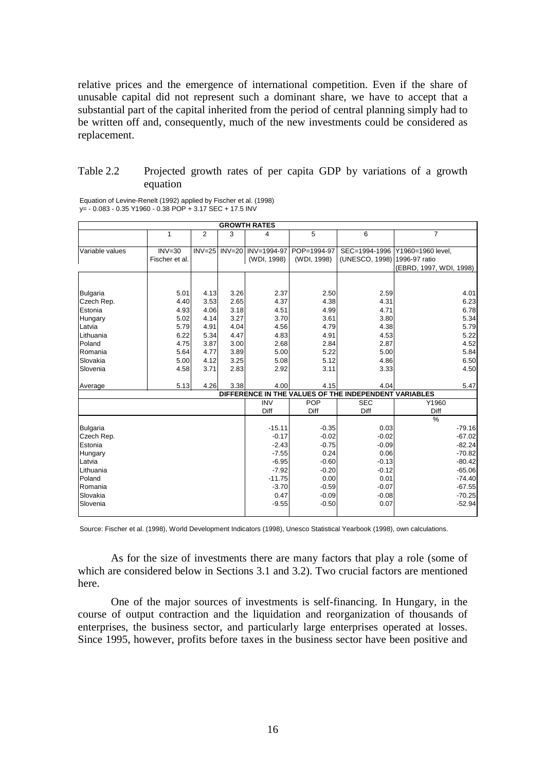relative prices and the emergence of international competition. Even if the share of unusable capital did not represent such a dominant share, we have to accept that a substantial part of the capital inherited from the period of central planning simply had to be written off and, consequently, much of the new investments could be considered as replacement.

### Table 2.2 Projected growth rates of per capita GDP by variations of a growth equation

| <b>GROWTH RATES</b> |                |                |          |             |             |                                                       |                         |  |  |  |
|---------------------|----------------|----------------|----------|-------------|-------------|-------------------------------------------------------|-------------------------|--|--|--|
|                     | 1              | $\overline{2}$ | 3        | 4           | 5           | 6                                                     | 7                       |  |  |  |
| Variable values     | $INV = 30$     | $INV = 25$     | $INV=20$ | INV=1994-97 | POP=1994-97 | SEC=1994-1996                                         | Y1960=1960 level,       |  |  |  |
|                     | Fischer et al. |                |          | (WDI, 1998) | (WDI, 1998) | (UNESCO, 1998)                                        | 1996-97 ratio           |  |  |  |
|                     |                |                |          |             |             |                                                       | (EBRD, 1997, WDI, 1998) |  |  |  |
|                     |                |                |          |             |             |                                                       |                         |  |  |  |
| <b>Bulgaria</b>     | 5.01           | 4.13           | 3.26     | 2.37        | 2.50        | 2.59                                                  | 4.01                    |  |  |  |
| Czech Rep.          | 4.40           | 3.53           | 2.65     | 4.37        | 4.38        | 4.31                                                  | 6.23                    |  |  |  |
| Estonia             | 4.93           | 4.06           | 3.18     | 4.51        | 4.99        | 4.71                                                  | 6.78                    |  |  |  |
| Hungary             | 5.02           | 4.14           | 3.27     | 3.70        | 3.61        | 3.80                                                  | 5.34                    |  |  |  |
| Latvia              | 5.79           | 4.91           | 4.04     | 4.56        | 4.79        | 4.38                                                  | 5.79                    |  |  |  |
| Lithuania           | 6.22           | 5.34           | 4.47     | 4.83        | 4.91        | 4.53                                                  | 5.22                    |  |  |  |
| Poland              | 4.75           | 3.87           | 3.00     | 2.68        | 2.84        | 2.87                                                  | 4.52                    |  |  |  |
| Romania             | 5.64           | 4.77           | 3.89     | 5.00        | 5.22        | 5.00                                                  | 5.84                    |  |  |  |
| Slovakia            | 5.00           | 4.12           | 3.25     | 5.08        | 5.12        | 4.86                                                  | 6.50                    |  |  |  |
| Slovenia            | 4.58           | 3.71           | 2.83     | 2.92        | 3.11        | 3.33                                                  | 4.50                    |  |  |  |
| Average             | 5.13           | 4.26           | 3.38     | 4.00        | 4.15        | 4.04                                                  | 5.47                    |  |  |  |
|                     |                |                |          |             |             | DIFFERENCE IN THE VALUES OF THE INDEPENDENT VARIABLES |                         |  |  |  |
|                     |                |                |          | <b>INV</b>  | POP         | <b>SEC</b>                                            | Y1960                   |  |  |  |
|                     |                |                |          | Diff        | Diff        | Diff                                                  | Diff                    |  |  |  |
|                     |                |                |          |             |             |                                                       | $\frac{0}{0}$           |  |  |  |
| <b>Bulgaria</b>     |                |                |          | $-15.11$    | $-0.35$     | 0.03                                                  | $-79.16$                |  |  |  |
| Czech Rep.          |                |                |          | $-0.17$     | $-0.02$     | $-0.02$                                               | $-67.02$                |  |  |  |
| Estonia             |                |                |          | $-2.43$     | $-0.75$     | $-0.09$                                               | $-82.24$                |  |  |  |
| Hungary             |                |                |          | $-7.55$     | 0.24        | 0.06                                                  | $-70.82$                |  |  |  |
| Latvia              |                |                |          | $-6.95$     | $-0.60$     | $-0.13$                                               | $-80.42$                |  |  |  |
| Lithuania           |                |                |          | $-7.92$     | $-0.20$     | $-0.12$                                               | $-65.06$                |  |  |  |
| Poland              |                |                |          | $-11.75$    | 0.00        | 0.01                                                  | $-74.40$                |  |  |  |
| Romania             |                |                |          | $-3.70$     | $-0.59$     | $-0.07$                                               | $-67.55$                |  |  |  |
| Slovakia            |                |                |          | 0.47        | $-0.09$     | $-0.08$                                               | $-70.25$                |  |  |  |
| Slovenia            |                |                |          | $-9.55$     | $-0.50$     | 0.07                                                  | $-52.94$                |  |  |  |

Equation of Levine-Renelt (1992) applied by Fischer et al. (1998) y= - 0.083 - 0.35 Y1960 - 0.38 POP + 3.17 SEC + 17.5 INV

Source: Fischer et al. (1998), World Development Indicators (1998), Unesco Statistical Yearbook (1998), own calculations.

As for the size of investments there are many factors that play a role (some of which are considered below in Sections 3.1 and 3.2). Two crucial factors are mentioned here.

One of the major sources of investments is self-financing. In Hungary, in the course of output contraction and the liquidation and reorganization of thousands of enterprises, the business sector, and particularly large enterprises operated at losses. Since 1995, however, profits before taxes in the business sector have been positive and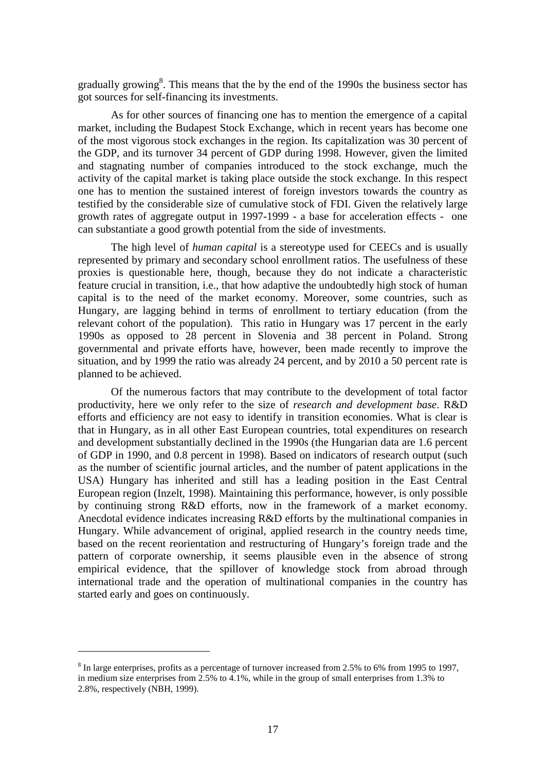gradually growing<sup>8</sup>. This means that the by the end of the 1990s the business sector has got sources for self-financing its investments.

As for other sources of financing one has to mention the emergence of a capital market, including the Budapest Stock Exchange, which in recent years has become one of the most vigorous stock exchanges in the region. Its capitalization was 30 percent of the GDP, and its turnover 34 percent of GDP during 1998. However, given the limited and stagnating number of companies introduced to the stock exchange, much the activity of the capital market is taking place outside the stock exchange. In this respect one has to mention the sustained interest of foreign investors towards the country as testified by the considerable size of cumulative stock of FDI. Given the relatively large growth rates of aggregate output in 1997-1999 - a base for acceleration effects - one can substantiate a good growth potential from the side of investments.

The high level of *human capital* is a stereotype used for CEECs and is usually represented by primary and secondary school enrollment ratios. The usefulness of these proxies is questionable here, though, because they do not indicate a characteristic feature crucial in transition, i.e., that how adaptive the undoubtedly high stock of human capital is to the need of the market economy. Moreover, some countries, such as Hungary, are lagging behind in terms of enrollment to tertiary education (from the relevant cohort of the population). This ratio in Hungary was 17 percent in the early 1990s as opposed to 28 percent in Slovenia and 38 percent in Poland. Strong governmental and private efforts have, however, been made recently to improve the situation, and by 1999 the ratio was already 24 percent, and by 2010 a 50 percent rate is planned to be achieved.

Of the numerous factors that may contribute to the development of total factor productivity, here we only refer to the size of *research and development base*. R&D efforts and efficiency are not easy to identify in transition economies. What is clear is that in Hungary, as in all other East European countries, total expenditures on research and development substantially declined in the 1990s (the Hungarian data are 1.6 percent of GDP in 1990, and 0.8 percent in 1998). Based on indicators of research output (such as the number of scientific journal articles, and the number of patent applications in the USA) Hungary has inherited and still has a leading position in the East Central European region (Inzelt, 1998). Maintaining this performance, however, is only possible by continuing strong R&D efforts, now in the framework of a market economy. Anecdotal evidence indicates increasing R&D efforts by the multinational companies in Hungary. While advancement of original, applied research in the country needs time, based on the recent reorientation and restructuring of Hungary's foreign trade and the pattern of corporate ownership, it seems plausible even in the absence of strong empirical evidence, that the spillover of knowledge stock from abroad through international trade and the operation of multinational companies in the country has started early and goes on continuously.

 $\overline{a}$ 

 $8$  In large enterprises, profits as a percentage of turnover increased from 2.5% to 6% from 1995 to 1997, in medium size enterprises from 2.5% to 4.1%, while in the group of small enterprises from 1.3% to 2.8%, respectively (NBH, 1999).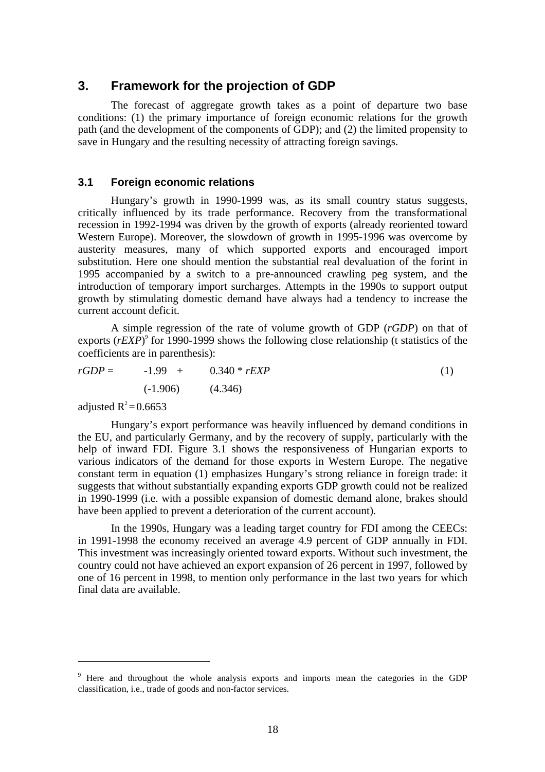## **3. Framework for the projection of GDP**

The forecast of aggregate growth takes as a point of departure two base conditions: (1) the primary importance of foreign economic relations for the growth path (and the development of the components of GDP); and (2) the limited propensity to save in Hungary and the resulting necessity of attracting foreign savings.

### **3.1 Foreign economic relations**

Hungary's growth in 1990-1999 was, as its small country status suggests, critically influenced by its trade performance. Recovery from the transformational recession in 1992-1994 was driven by the growth of exports (already reoriented toward Western Europe). Moreover, the slowdown of growth in 1995-1996 was overcome by austerity measures, many of which supported exports and encouraged import substitution. Here one should mention the substantial real devaluation of the forint in 1995 accompanied by a switch to a pre-announced crawling peg system, and the introduction of temporary import surcharges. Attempts in the 1990s to support output growth by stimulating domestic demand have always had a tendency to increase the current account deficit.

A simple regression of the rate of volume growth of GDP (*rGDP*) on that of exports (*rEXP*)<sup>9</sup> for 1990-1999 shows the following close relationship (t statistics of the coefficients are in parenthesis):

$$
rGDP = -1.99 + 0.340 * rEXP
$$
\n
$$
(-1.906) \qquad (4.346)
$$
\n
$$
(1)
$$

adjusted  $R^2 = 0.6653$ 

 $\overline{a}$ 

Hungary's export performance was heavily influenced by demand conditions in the EU, and particularly Germany, and by the recovery of supply, particularly with the help of inward FDI. Figure 3.1 shows the responsiveness of Hungarian exports to various indicators of the demand for those exports in Western Europe. The negative constant term in equation (1) emphasizes Hungary's strong reliance in foreign trade: it suggests that without substantially expanding exports GDP growth could not be realized in 1990-1999 (i.e. with a possible expansion of domestic demand alone, brakes should have been applied to prevent a deterioration of the current account).

In the 1990s, Hungary was a leading target country for FDI among the CEECs: in 1991-1998 the economy received an average 4.9 percent of GDP annually in FDI. This investment was increasingly oriented toward exports. Without such investment, the country could not have achieved an export expansion of 26 percent in 1997, followed by one of 16 percent in 1998, to mention only performance in the last two years for which final data are available.

<sup>&</sup>lt;sup>9</sup> Here and throughout the whole analysis exports and imports mean the categories in the GDP classification, i.e., trade of goods and non-factor services.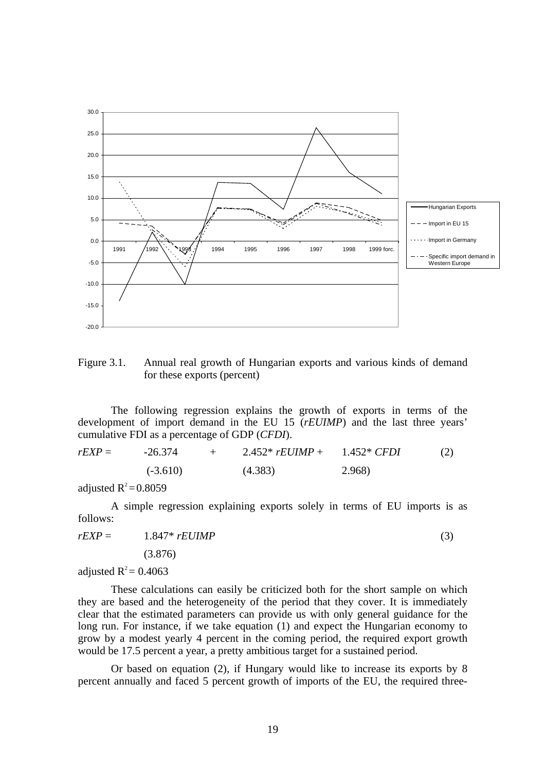

Figure 3.1. Annual real growth of Hungarian exports and various kinds of demand for these exports (percent)

The following regression explains the growth of exports in terms of the development of import demand in the EU 15 (*rEUIMP*) and the last three years' cumulative FDI as a percentage of GDP (*CFDI*).

| $rEXP =$ | $-26.374$  |  | 2.452* $rEUIMP +$ | (2)<br>1.452* <i>CFDI</i> |  |  |
|----------|------------|--|-------------------|---------------------------|--|--|
|          | $(-3.610)$ |  | (4.383)           | 2.968)                    |  |  |

adjusted  $R^2 = 0.8059$ 

A simple regression explaining exports solely in terms of EU imports is as follows:

$$
rEXP = 1.847 * rEUIMP
$$
\n
$$
(3.876)
$$

adjusted  $R^2$  = 0.4063

These calculations can easily be criticized both for the short sample on which they are based and the heterogeneity of the period that they cover. It is immediately clear that the estimated parameters can provide us with only general guidance for the long run. For instance, if we take equation (1) and expect the Hungarian economy to grow by a modest yearly 4 percent in the coming period, the required export growth would be 17.5 percent a year, a pretty ambitious target for a sustained period.

Or based on equation (2), if Hungary would like to increase its exports by 8 percent annually and faced 5 percent growth of imports of the EU, the required three-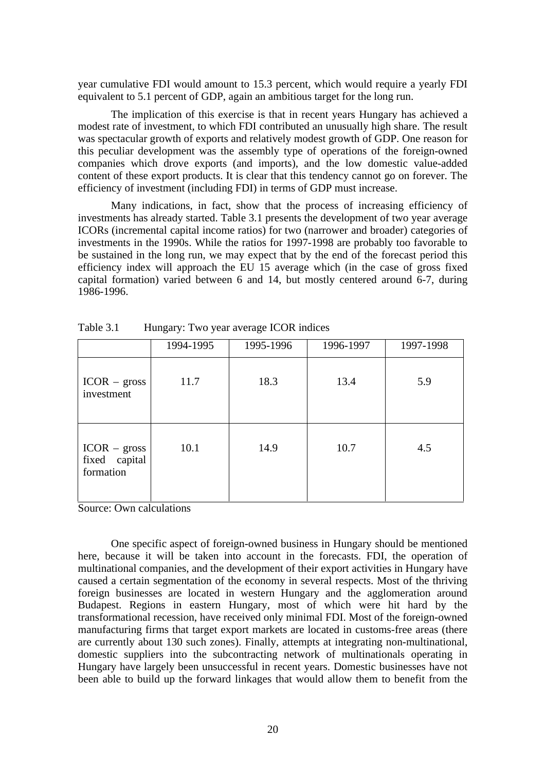year cumulative FDI would amount to 15.3 percent, which would require a yearly FDI equivalent to 5.1 percent of GDP, again an ambitious target for the long run.

The implication of this exercise is that in recent years Hungary has achieved a modest rate of investment, to which FDI contributed an unusually high share. The result was spectacular growth of exports and relatively modest growth of GDP. One reason for this peculiar development was the assembly type of operations of the foreign-owned companies which drove exports (and imports), and the low domestic value-added content of these export products. It is clear that this tendency cannot go on forever. The efficiency of investment (including FDI) in terms of GDP must increase.

Many indications, in fact, show that the process of increasing efficiency of investments has already started. Table 3.1 presents the development of two year average ICORs (incremental capital income ratios) for two (narrower and broader) categories of investments in the 1990s. While the ratios for 1997-1998 are probably too favorable to be sustained in the long run, we may expect that by the end of the forecast period this efficiency index will approach the EU 15 average which (in the case of gross fixed capital formation) varied between 6 and 14, but mostly centered around 6-7, during 1986-1996.

|                                              | 1994-1995 | 1995-1996 | 1996-1997 | 1997-1998 |
|----------------------------------------------|-----------|-----------|-----------|-----------|
| $ICOR - gross$<br>investment                 | 11.7      | 18.3      | 13.4      | 5.9       |
| $ICOR - gross$<br>fixed capital<br>formation | 10.1      | 14.9      | 10.7      | 4.5       |

Table 3.1 Hungary: Two year average ICOR indices

Source: Own calculations

One specific aspect of foreign-owned business in Hungary should be mentioned here, because it will be taken into account in the forecasts. FDI, the operation of multinational companies, and the development of their export activities in Hungary have caused a certain segmentation of the economy in several respects. Most of the thriving foreign businesses are located in western Hungary and the agglomeration around Budapest. Regions in eastern Hungary, most of which were hit hard by the transformational recession, have received only minimal FDI. Most of the foreign-owned manufacturing firms that target export markets are located in customs-free areas (there are currently about 130 such zones). Finally, attempts at integrating non-multinational, domestic suppliers into the subcontracting network of multinationals operating in Hungary have largely been unsuccessful in recent years. Domestic businesses have not been able to build up the forward linkages that would allow them to benefit from the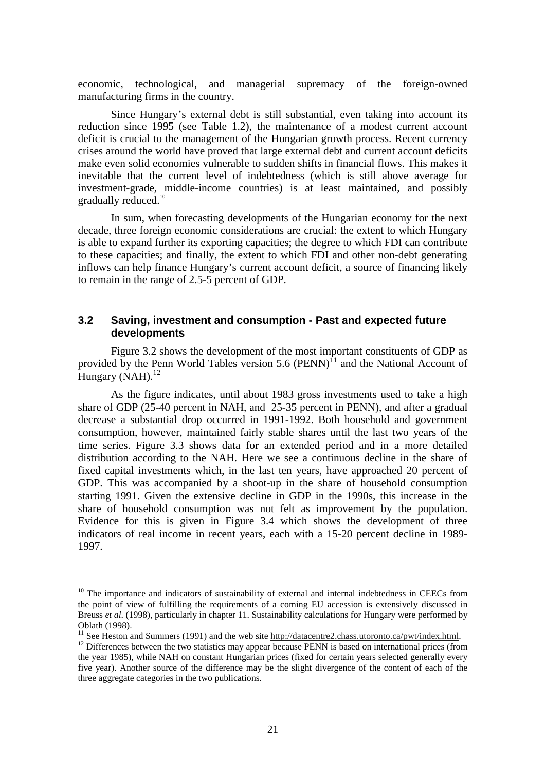economic, technological, and managerial supremacy of the foreign-owned manufacturing firms in the country.

Since Hungary's external debt is still substantial, even taking into account its reduction since 1995 (see Table 1.2), the maintenance of a modest current account deficit is crucial to the management of the Hungarian growth process. Recent currency crises around the world have proved that large external debt and current account deficits make even solid economies vulnerable to sudden shifts in financial flows. This makes it inevitable that the current level of indebtedness (which is still above average for investment-grade, middle-income countries) is at least maintained, and possibly gradually reduced.<sup>10</sup>

In sum, when forecasting developments of the Hungarian economy for the next decade, three foreign economic considerations are crucial: the extent to which Hungary is able to expand further its exporting capacities; the degree to which FDI can contribute to these capacities; and finally, the extent to which FDI and other non-debt generating inflows can help finance Hungary's current account deficit, a source of financing likely to remain in the range of 2.5-5 percent of GDP.

### **3.2 Saving, investment and consumption - Past and expected future developments**

Figure 3.2 shows the development of the most important constituents of GDP as provided by the Penn World Tables version 5.6 (PENN)<sup> $\Omega$ </sup> and the National Account of Hungary (NAH). $^{12}$ 

As the figure indicates, until about 1983 gross investments used to take a high share of GDP (25-40 percent in NAH, and 25-35 percent in PENN), and after a gradual decrease a substantial drop occurred in 1991-1992. Both household and government consumption, however, maintained fairly stable shares until the last two years of the time series. Figure 3.3 shows data for an extended period and in a more detailed distribution according to the NAH. Here we see a continuous decline in the share of fixed capital investments which, in the last ten years, have approached 20 percent of GDP. This was accompanied by a shoot-up in the share of household consumption starting 1991. Given the extensive decline in GDP in the 1990s, this increase in the share of household consumption was not felt as improvement by the population. Evidence for this is given in Figure 3.4 which shows the development of three indicators of real income in recent years, each with a 15-20 percent decline in 1989- 1997.

 $\overline{a}$ 

 $10$  The importance and indicators of sustainability of external and internal indebtedness in CEECs from the point of view of fulfilling the requirements of a coming EU accession is extensively discussed in Breuss *et al*. (1998), particularly in chapter 11. Sustainability calculations for Hungary were performed by

Oblath (1998).<br><sup>11</sup> See Heston and Summers (1991) and the web site http://datacentre2.chass.utoronto.ca/pwt/index.html.

 $12$  Differences between the two statistics may appear because PENN is based on international prices (from the year 1985), while NAH on constant Hungarian prices (fixed for certain years selected generally every five year). Another source of the difference may be the slight divergence of the content of each of the three aggregate categories in the two publications.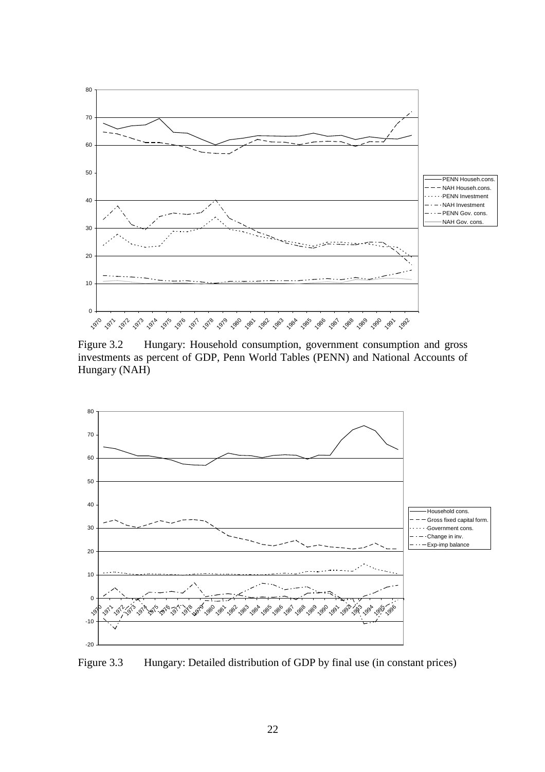

Figure 3.2 Hungary: Household consumption, government consumption and gross investments as percent of GDP, Penn World Tables (PENN) and National Accounts of Hungary (NAH)



Figure 3.3 Hungary: Detailed distribution of GDP by final use (in constant prices)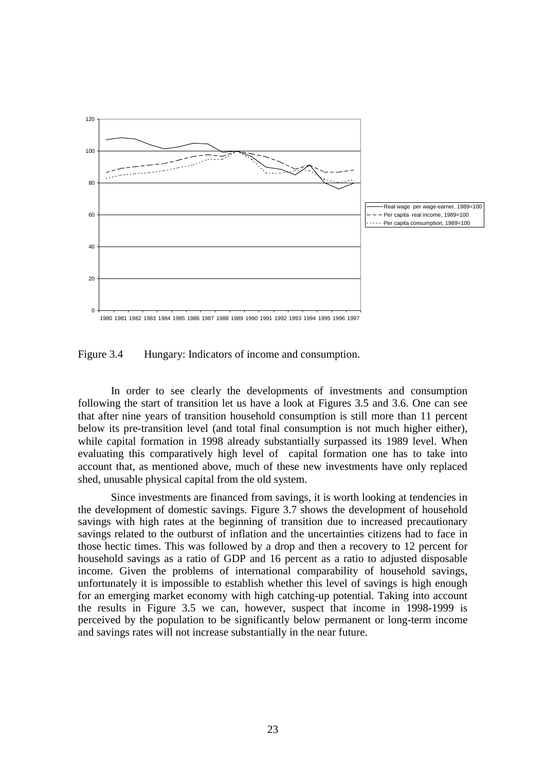

Figure 3.4 Hungary: Indicators of income and consumption.

In order to see clearly the developments of investments and consumption following the start of transition let us have a look at Figures 3.5 and 3.6. One can see that after nine years of transition household consumption is still more than 11 percent below its pre-transition level (and total final consumption is not much higher either), while capital formation in 1998 already substantially surpassed its 1989 level. When evaluating this comparatively high level of capital formation one has to take into account that, as mentioned above, much of these new investments have only replaced shed, unusable physical capital from the old system.

Since investments are financed from savings, it is worth looking at tendencies in the development of domestic savings. Figure 3.7 shows the development of household savings with high rates at the beginning of transition due to increased precautionary savings related to the outburst of inflation and the uncertainties citizens had to face in those hectic times. This was followed by a drop and then a recovery to 12 percent for household savings as a ratio of GDP and 16 percent as a ratio to adjusted disposable income. Given the problems of international comparability of household savings, unfortunately it is impossible to establish whether this level of savings is high enough for an emerging market economy with high catching-up potential. Taking into account the results in Figure 3.5 we can, however, suspect that income in 1998-1999 is perceived by the population to be significantly below permanent or long-term income and savings rates will not increase substantially in the near future.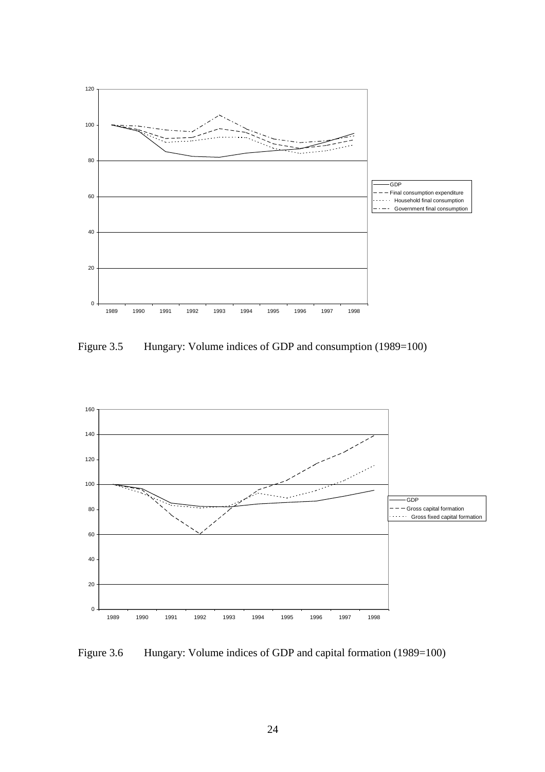

Figure 3.5 Hungary: Volume indices of GDP and consumption (1989=100)



Figure 3.6 Hungary: Volume indices of GDP and capital formation (1989=100)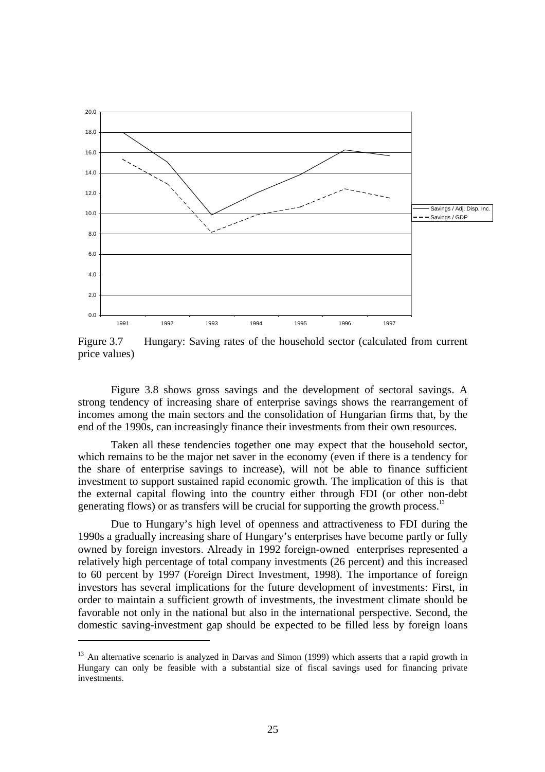

Figure 3.7 Hungary: Saving rates of the household sector (calculated from current price values)

Figure 3.8 shows gross savings and the development of sectoral savings. A strong tendency of increasing share of enterprise savings shows the rearrangement of incomes among the main sectors and the consolidation of Hungarian firms that, by the end of the 1990s, can increasingly finance their investments from their own resources.

Taken all these tendencies together one may expect that the household sector, which remains to be the major net saver in the economy (even if there is a tendency for the share of enterprise savings to increase), will not be able to finance sufficient investment to support sustained rapid economic growth. The implication of this is that the external capital flowing into the country either through FDI (or other non-debt generating flows) or as transfers will be crucial for supporting the growth process.<sup>13</sup>

Due to Hungary's high level of openness and attractiveness to FDI during the 1990s a gradually increasing share of Hungary's enterprises have become partly or fully owned by foreign investors. Already in 1992 foreign-owned enterprises represented a relatively high percentage of total company investments (26 percent) and this increased to 60 percent by 1997 (Foreign Direct Investment, 1998). The importance of foreign investors has several implications for the future development of investments: First, in order to maintain a sufficient growth of investments, the investment climate should be favorable not only in the national but also in the international perspective. Second, the domestic saving-investment gap should be expected to be filled less by foreign loans

 $\overline{a}$ 

<sup>&</sup>lt;sup>13</sup> An alternative scenario is analyzed in Darvas and Simon (1999) which asserts that a rapid growth in Hungary can only be feasible with a substantial size of fiscal savings used for financing private investments.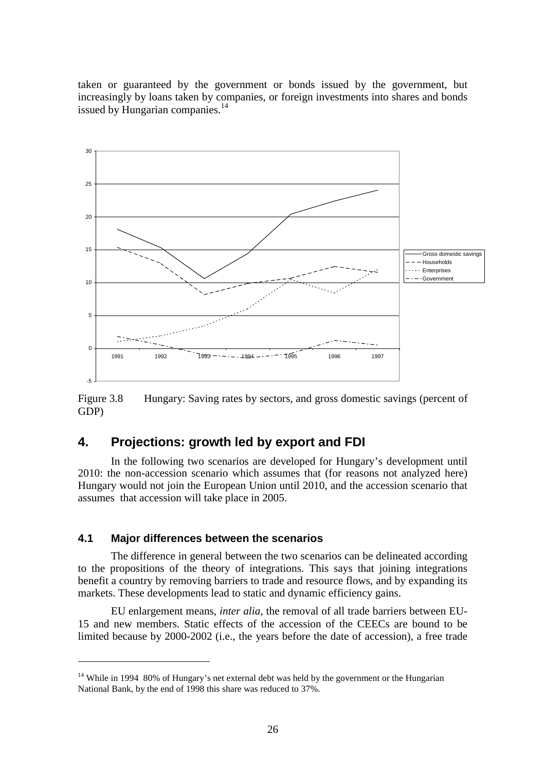taken or guaranteed by the government or bonds issued by the government, but increasingly by loans taken by companies, or foreign investments into shares and bonds issued by Hungarian companies.<sup>14</sup>



Figure 3.8 Hungary: Saving rates by sectors, and gross domestic savings (percent of GDP)

## **4. Projections: growth led by export and FDI**

In the following two scenarios are developed for Hungary's development until 2010: the non-accession scenario which assumes that (for reasons not analyzed here) Hungary would not join the European Union until 2010, and the accession scenario that assumes that accession will take place in 2005.

### **4.1 Major differences between the scenarios**

 $\overline{a}$ 

The difference in general between the two scenarios can be delineated according to the propositions of the theory of integrations. This says that joining integrations benefit a country by removing barriers to trade and resource flows, and by expanding its markets. These developments lead to static and dynamic efficiency gains.

EU enlargement means, *inter alia*, the removal of all trade barriers between EU-15 and new members. Static effects of the accession of the CEECs are bound to be limited because by 2000-2002 (i.e., the years before the date of accession), a free trade

<sup>&</sup>lt;sup>14</sup> While in 1994 80% of Hungary's net external debt was held by the government or the Hungarian National Bank, by the end of 1998 this share was reduced to 37%.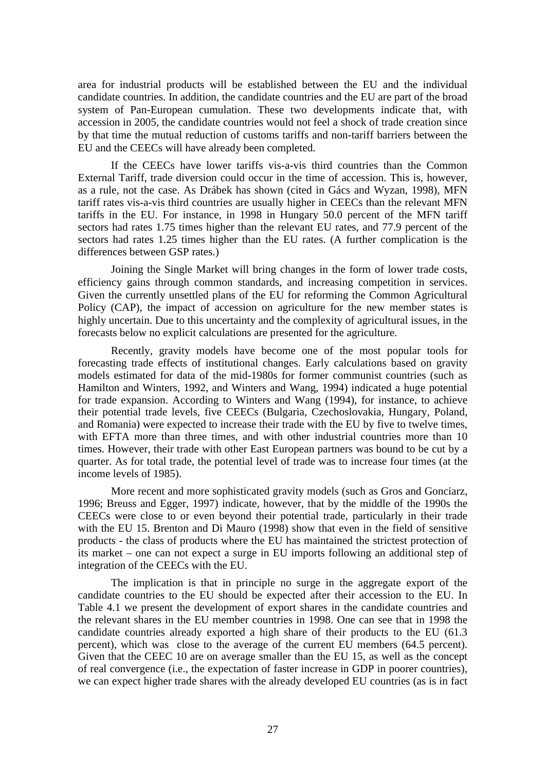area for industrial products will be established between the EU and the individual candidate countries. In addition, the candidate countries and the EU are part of the broad system of Pan-European cumulation. These two developments indicate that, with accession in 2005, the candidate countries would not feel a shock of trade creation since by that time the mutual reduction of customs tariffs and non-tariff barriers between the EU and the CEECs will have already been completed.

If the CEECs have lower tariffs vis-a-vis third countries than the Common External Tariff, trade diversion could occur in the time of accession. This is, however, as a rule, not the case. As Drábek has shown (cited in Gács and Wyzan, 1998), MFN tariff rates vis-a-vis third countries are usually higher in CEECs than the relevant MFN tariffs in the EU. For instance, in 1998 in Hungary 50.0 percent of the MFN tariff sectors had rates 1.75 times higher than the relevant EU rates, and 77.9 percent of the sectors had rates 1.25 times higher than the EU rates. (A further complication is the differences between GSP rates.)

Joining the Single Market will bring changes in the form of lower trade costs, efficiency gains through common standards, and increasing competition in services. Given the currently unsettled plans of the EU for reforming the Common Agricultural Policy (CAP), the impact of accession on agriculture for the new member states is highly uncertain. Due to this uncertainty and the complexity of agricultural issues, in the forecasts below no explicit calculations are presented for the agriculture.

Recently, gravity models have become one of the most popular tools for forecasting trade effects of institutional changes. Early calculations based on gravity models estimated for data of the mid-1980s for former communist countries (such as Hamilton and Winters, 1992, and Winters and Wang, 1994) indicated a huge potential for trade expansion. According to Winters and Wang (1994), for instance, to achieve their potential trade levels, five CEECs (Bulgaria, Czechoslovakia, Hungary, Poland, and Romania) were expected to increase their trade with the EU by five to twelve times, with EFTA more than three times, and with other industrial countries more than 10 times. However, their trade with other East European partners was bound to be cut by a quarter. As for total trade, the potential level of trade was to increase four times (at the income levels of 1985).

More recent and more sophisticated gravity models (such as Gros and Gonciarz, 1996; Breuss and Egger, 1997) indicate, however, that by the middle of the 1990s the CEECs were close to or even beyond their potential trade, particularly in their trade with the EU 15. Brenton and Di Mauro (1998) show that even in the field of sensitive products - the class of products where the EU has maintained the strictest protection of its market – one can not expect a surge in EU imports following an additional step of integration of the CEECs with the EU.

The implication is that in principle no surge in the aggregate export of the candidate countries to the EU should be expected after their accession to the EU. In Table 4.1 we present the development of export shares in the candidate countries and the relevant shares in the EU member countries in 1998. One can see that in 1998 the candidate countries already exported a high share of their products to the EU (61.3 percent), which was close to the average of the current EU members (64.5 percent). Given that the CEEC 10 are on average smaller than the EU 15, as well as the concept of real convergence (i.e., the expectation of faster increase in GDP in poorer countries), we can expect higher trade shares with the already developed EU countries (as is in fact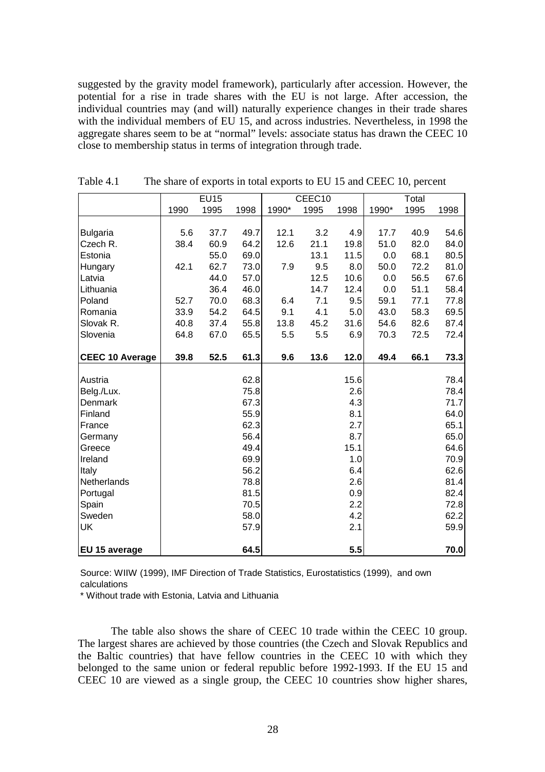suggested by the gravity model framework), particularly after accession. However, the potential for a rise in trade shares with the EU is not large. After accession, the individual countries may (and will) naturally experience changes in their trade shares with the individual members of EU 15, and across industries. Nevertheless, in 1998 the aggregate shares seem to be at "normal" levels: associate status has drawn the CEEC 10 close to membership status in terms of integration through trade.

|                        |      | <b>EU15</b> |      |       | CEEC10 |      |       | Total |      |
|------------------------|------|-------------|------|-------|--------|------|-------|-------|------|
|                        | 1990 | 1995        | 1998 | 1990* | 1995   | 1998 | 1990* | 1995  | 1998 |
|                        |      |             |      |       |        |      |       |       |      |
| <b>Bulgaria</b>        | 5.6  | 37.7        | 49.7 | 12.1  | 3.2    | 4.9  | 17.7  | 40.9  | 54.6 |
| Czech R.               | 38.4 | 60.9        | 64.2 | 12.6  | 21.1   | 19.8 | 51.0  | 82.0  | 84.0 |
| Estonia                |      | 55.0        | 69.0 |       | 13.1   | 11.5 | 0.0   | 68.1  | 80.5 |
| Hungary                | 42.1 | 62.7        | 73.0 | 7.9   | 9.5    | 8.0  | 50.0  | 72.2  | 81.0 |
| Latvia                 |      | 44.0        | 57.0 |       | 12.5   | 10.6 | 0.0   | 56.5  | 67.6 |
| Lithuania              |      | 36.4        | 46.0 |       | 14.7   | 12.4 | 0.0   | 51.1  | 58.4 |
| Poland                 | 52.7 | 70.0        | 68.3 | 6.4   | 7.1    | 9.5  | 59.1  | 77.1  | 77.8 |
| Romania                | 33.9 | 54.2        | 64.5 | 9.1   | 4.1    | 5.0  | 43.0  | 58.3  | 69.5 |
| Slovak R.              | 40.8 | 37.4        | 55.8 | 13.8  | 45.2   | 31.6 | 54.6  | 82.6  | 87.4 |
| Slovenia               | 64.8 | 67.0        | 65.5 | 5.5   | 5.5    | 6.9  | 70.3  | 72.5  | 72.4 |
|                        |      |             |      |       |        |      |       |       |      |
| <b>CEEC 10 Average</b> | 39.8 | 52.5        | 61.3 | 9.6   | 13.6   | 12.0 | 49.4  | 66.1  | 73.3 |
|                        |      |             |      |       |        |      |       |       |      |
| Austria                |      |             | 62.8 |       |        | 15.6 |       |       | 78.4 |
| Belg./Lux.             |      |             | 75.8 |       |        | 2.6  |       |       | 78.4 |
| Denmark                |      |             | 67.3 |       |        | 4.3  |       |       | 71.7 |
| Finland                |      |             | 55.9 |       |        | 8.1  |       |       | 64.0 |
| France                 |      |             | 62.3 |       |        | 2.7  |       |       | 65.1 |
| Germany                |      |             | 56.4 |       |        | 8.7  |       |       | 65.0 |
| Greece                 |      |             | 49.4 |       |        | 15.1 |       |       | 64.6 |
| Ireland                |      |             | 69.9 |       |        | 1.0  |       |       | 70.9 |
| Italy                  |      |             | 56.2 |       |        | 6.4  |       |       | 62.6 |
| Netherlands            |      |             | 78.8 |       |        | 2.6  |       |       | 81.4 |
| Portugal               |      |             | 81.5 |       |        | 0.9  |       |       | 82.4 |
| Spain                  |      |             | 70.5 |       |        | 2.2  |       |       | 72.8 |
| Sweden                 |      |             | 58.0 |       |        | 4.2  |       |       | 62.2 |
| UK                     |      |             | 57.9 |       |        | 2.1  |       |       | 59.9 |
|                        |      |             |      |       |        |      |       |       |      |
| EU 15 average          |      |             | 64.5 |       |        | 5.5  |       |       | 70.0 |

Table 4.1 The share of exports in total exports to EU 15 and CEEC 10, percent

Source: WIIW (1999), IMF Direction of Trade Statistics, Eurostatistics (1999), and own calculations

\* Without trade with Estonia, Latvia and Lithuania

The table also shows the share of CEEC 10 trade within the CEEC 10 group. The largest shares are achieved by those countries (the Czech and Slovak Republics and the Baltic countries) that have fellow countries in the CEEC 10 with which they belonged to the same union or federal republic before 1992-1993. If the EU 15 and CEEC 10 are viewed as a single group, the CEEC 10 countries show higher shares,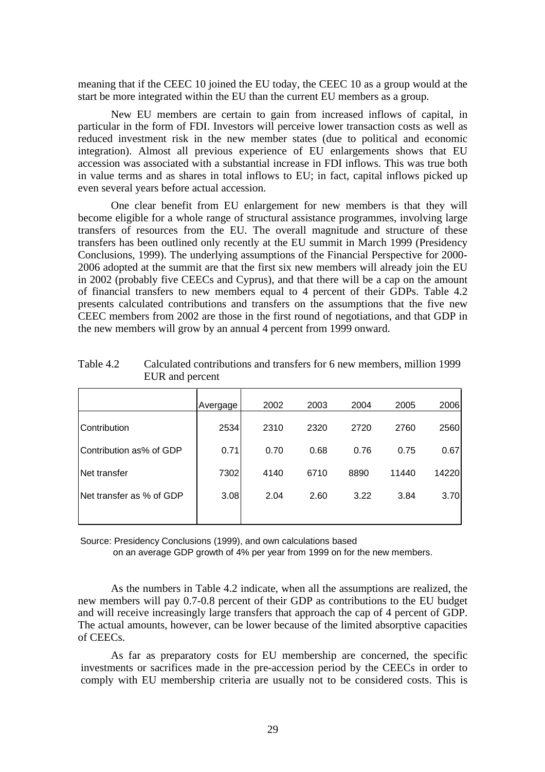meaning that if the CEEC 10 joined the EU today, the CEEC 10 as a group would at the start be more integrated within the EU than the current EU members as a group.

New EU members are certain to gain from increased inflows of capital, in particular in the form of FDI. Investors will perceive lower transaction costs as well as reduced investment risk in the new member states (due to political and economic integration). Almost all previous experience of EU enlargements shows that EU accession was associated with a substantial increase in FDI inflows. This was true both in value terms and as shares in total inflows to EU; in fact, capital inflows picked up even several years before actual accession.

One clear benefit from EU enlargement for new members is that they will become eligible for a whole range of structural assistance programmes, involving large transfers of resources from the EU. The overall magnitude and structure of these transfers has been outlined only recently at the EU summit in March 1999 (Presidency Conclusions, 1999). The underlying assumptions of the Financial Perspective for 2000- 2006 adopted at the summit are that the first six new members will already join the EU in 2002 (probably five CEECs and Cyprus), and that there will be a cap on the amount of financial transfers to new members equal to 4 percent of their GDPs. Table 4.2 presents calculated contributions and transfers on the assumptions that the five new CEEC members from 2002 are those in the first round of negotiations, and that GDP in the new members will grow by an annual 4 percent from 1999 onward.

|                           | Avergage | 2002 | 2003 | 2004 | 2005  | 2006  |
|---------------------------|----------|------|------|------|-------|-------|
| Contribution              | 2534     | 2310 | 2320 | 2720 | 2760  | 2560  |
| Contribution as% of GDP   | 0.71     | 0.70 | 0.68 | 0.76 | 0.75  | 0.67  |
| INet transfer             | 7302     | 4140 | 6710 | 8890 | 11440 | 14220 |
| INet transfer as % of GDP | 3.08     | 2.04 | 2.60 | 3.22 | 3.84  | 3.70  |
|                           |          |      |      |      |       |       |

Table 4.2 Calculated contributions and transfers for 6 new members, million 1999 EUR and percent

Source: Presidency Conclusions (1999), and own calculations based

on an average GDP growth of 4% per year from 1999 on for the new members.

As the numbers in Table 4.2 indicate, when all the assumptions are realized, the new members will pay 0.7-0.8 percent of their GDP as contributions to the EU budget and will receive increasingly large transfers that approach the cap of 4 percent of GDP. The actual amounts, however, can be lower because of the limited absorptive capacities of CEECs.

As far as preparatory costs for EU membership are concerned, the specific investments or sacrifices made in the pre-accession period by the CEECs in order to comply with EU membership criteria are usually not to be considered costs. This is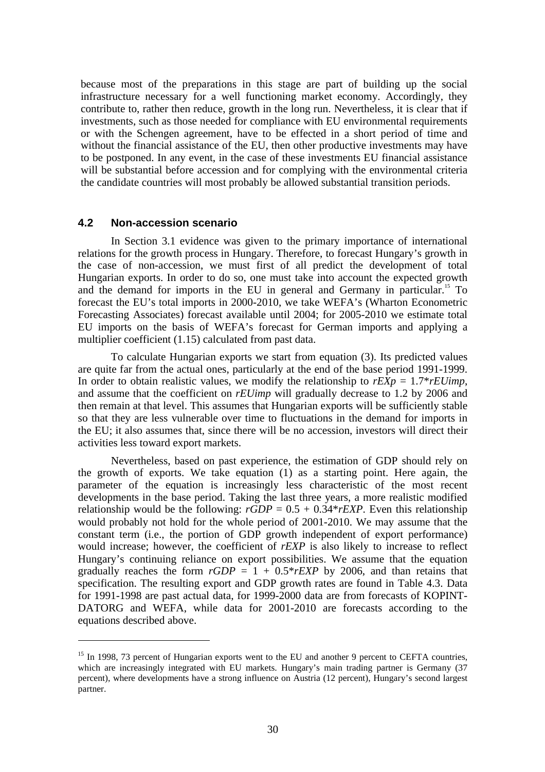because most of the preparations in this stage are part of building up the social infrastructure necessary for a well functioning market economy. Accordingly, they contribute to, rather then reduce, growth in the long run. Nevertheless, it is clear that if investments, such as those needed for compliance with EU environmental requirements or with the Schengen agreement, have to be effected in a short period of time and without the financial assistance of the EU, then other productive investments may have to be postponed. In any event, in the case of these investments EU financial assistance will be substantial before accession and for complying with the environmental criteria the candidate countries will most probably be allowed substantial transition periods.

### **4.2 Non-accession scenario**

 $\overline{a}$ 

In Section 3.1 evidence was given to the primary importance of international relations for the growth process in Hungary. Therefore, to forecast Hungary's growth in the case of non-accession, we must first of all predict the development of total Hungarian exports. In order to do so, one must take into account the expected growth and the demand for imports in the EU in general and Germany in particular.<sup>15</sup> To forecast the EU's total imports in 2000-2010, we take WEFA's (Wharton Econometric Forecasting Associates) forecast available until 2004; for 2005-2010 we estimate total EU imports on the basis of WEFA's forecast for German imports and applying a multiplier coefficient (1.15) calculated from past data.

To calculate Hungarian exports we start from equation (3). Its predicted values are quite far from the actual ones, particularly at the end of the base period 1991-1999. In order to obtain realistic values, we modify the relationship to  $rEXp = 1.7*rEUimp$ , and assume that the coefficient on *rEUimp* will gradually decrease to 1.2 by 2006 and then remain at that level. This assumes that Hungarian exports will be sufficiently stable so that they are less vulnerable over time to fluctuations in the demand for imports in the EU; it also assumes that, since there will be no accession, investors will direct their activities less toward export markets.

Nevertheless, based on past experience, the estimation of GDP should rely on the growth of exports. We take equation (1) as a starting point. Here again, the parameter of the equation is increasingly less characteristic of the most recent developments in the base period. Taking the last three years, a more realistic modified relationship would be the following:  $rGDP = 0.5 + 0.34* rEXP$ . Even this relationship would probably not hold for the whole period of 2001-2010. We may assume that the constant term (i.e., the portion of GDP growth independent of export performance) would increase; however, the coefficient of *rEXP* is also likely to increase to reflect Hungary's continuing reliance on export possibilities. We assume that the equation gradually reaches the form  $rGDP = 1 + 0.5*rEXP$  by 2006, and than retains that specification. The resulting export and GDP growth rates are found in Table 4.3. Data for 1991-1998 are past actual data, for 1999-2000 data are from forecasts of KOPINT-DATORG and WEFA, while data for 2001-2010 are forecasts according to the equations described above.

<sup>&</sup>lt;sup>15</sup> In 1998, 73 percent of Hungarian exports went to the EU and another 9 percent to CEFTA countries, which are increasingly integrated with EU markets. Hungary's main trading partner is Germany (37 percent), where developments have a strong influence on Austria (12 percent), Hungary's second largest partner.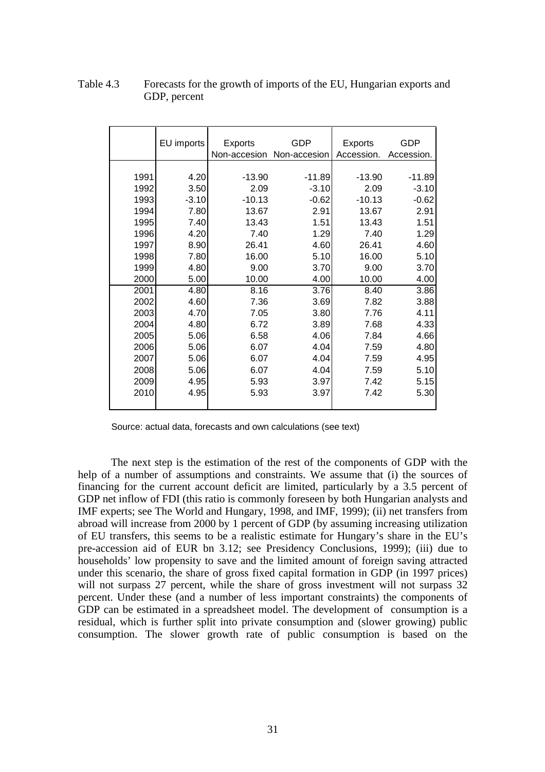|      | EU imports |                         | GDP          | <b>Exports</b> | GDP        |
|------|------------|-------------------------|--------------|----------------|------------|
|      |            | Exports<br>Non-accesion |              | Accession.     |            |
|      |            |                         | Non-accesion |                | Accession. |
| 1991 | 4.20       | $-13.90$                | $-11.89$     | $-13.90$       | $-11.89$   |
| 1992 | 3.50       | 2.09                    | $-3.10$      | 2.09           | $-3.10$    |
| 1993 | $-3.10$    | $-10.13$                | $-0.62$      | $-10.13$       | $-0.62$    |
| 1994 | 7.80       | 13.67                   | 2.91         | 13.67          | 2.91       |
| 1995 | 7.40       | 13.43                   | 1.51         | 13.43          | 1.51       |
| 1996 | 4.20       | 7.40                    | 1.29         | 7.40           | 1.29       |
| 1997 | 8.90       | 26.41                   | 4.60         | 26.41          | 4.60       |
| 1998 | 7.80       | 16.00                   | 5.10         | 16.00          | 5.10       |
| 1999 | 4.80       | 9.00                    | 3.70         | 9.00           | 3.70       |
| 2000 | 5.00       | 10.00                   | 4.00         | 10.00          | 4.00       |
| 2001 | 4.80       | 8.16                    | 3.76         | 8.40           | 3.86       |
| 2002 | 4.60       | 7.36                    | 3.69         | 7.82           | 3.88       |
| 2003 | 4.70       | 7.05                    | 3.80         | 7.76           | 4.11       |
| 2004 | 4.80       | 6.72                    | 3.89         | 7.68           | 4.33       |
| 2005 | 5.06       | 6.58                    | 4.06         | 7.84           | 4.66       |
| 2006 | 5.06       | 6.07                    | 4.04         | 7.59           | 4.80       |
| 2007 | 5.06       | 6.07                    | 4.04         | 7.59           | 4.95       |
| 2008 | 5.06       | 6.07                    | 4.04         | 7.59           | 5.10       |
| 2009 | 4.95       | 5.93                    | 3.97         | 7.42           | 5.15       |
| 2010 | 4.95       | 5.93                    | 3.97         | 7.42           | 5.30       |
|      |            |                         |              |                |            |

### Table 4.3 Forecasts for the growth of imports of the EU, Hungarian exports and GDP, percent

Source: actual data, forecasts and own calculations (see text)

The next step is the estimation of the rest of the components of GDP with the help of a number of assumptions and constraints. We assume that (i) the sources of financing for the current account deficit are limited, particularly by a 3.5 percent of GDP net inflow of FDI (this ratio is commonly foreseen by both Hungarian analysts and IMF experts; see The World and Hungary, 1998, and IMF, 1999); (ii) net transfers from abroad will increase from 2000 by 1 percent of GDP (by assuming increasing utilization of EU transfers, this seems to be a realistic estimate for Hungary's share in the EU's pre-accession aid of EUR bn 3.12; see Presidency Conclusions, 1999); (iii) due to households' low propensity to save and the limited amount of foreign saving attracted under this scenario, the share of gross fixed capital formation in GDP (in 1997 prices) will not surpass 27 percent, while the share of gross investment will not surpass 32 percent. Under these (and a number of less important constraints) the components of GDP can be estimated in a spreadsheet model. The development of consumption is a residual, which is further split into private consumption and (slower growing) public consumption. The slower growth rate of public consumption is based on the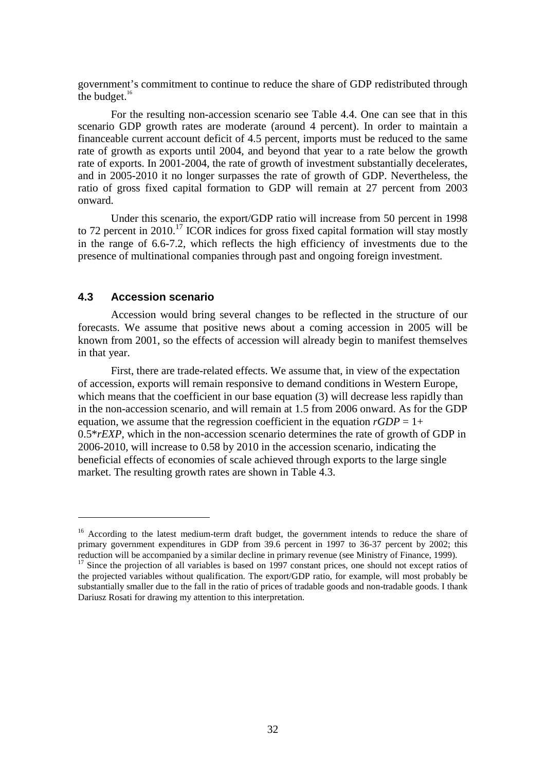government's commitment to continue to reduce the share of GDP redistributed through the budget. $16$ 

For the resulting non-accession scenario see Table 4.4. One can see that in this scenario GDP growth rates are moderate (around 4 percent). In order to maintain a financeable current account deficit of 4.5 percent, imports must be reduced to the same rate of growth as exports until 2004, and beyond that year to a rate below the growth rate of exports. In 2001-2004, the rate of growth of investment substantially decelerates, and in 2005-2010 it no longer surpasses the rate of growth of GDP. Nevertheless, the ratio of gross fixed capital formation to GDP will remain at 27 percent from 2003 onward.

Under this scenario, the export/GDP ratio will increase from 50 percent in 1998 to 72 percent in 2010.<sup>17</sup> ICOR indices for gross fixed capital formation will stay mostly in the range of 6.6-7.2, which reflects the high efficiency of investments due to the presence of multinational companies through past and ongoing foreign investment.

### **4.3 Accession scenario**

 $\overline{a}$ 

Accession would bring several changes to be reflected in the structure of our forecasts. We assume that positive news about a coming accession in 2005 will be known from 2001, so the effects of accession will already begin to manifest themselves in that year.

First, there are trade-related effects. We assume that, in view of the expectation of accession, exports will remain responsive to demand conditions in Western Europe, which means that the coefficient in our base equation (3) will decrease less rapidly than in the non-accession scenario, and will remain at 1.5 from 2006 onward. As for the GDP equation, we assume that the regression coefficient in the equation  $rGDP = 1+$ 0.5\**rEXP*, which in the non-accession scenario determines the rate of growth of GDP in 2006-2010, will increase to 0.58 by 2010 in the accession scenario, indicating the beneficial effects of economies of scale achieved through exports to the large single market. The resulting growth rates are shown in Table 4.3.

<sup>&</sup>lt;sup>16</sup> According to the latest medium-term draft budget, the government intends to reduce the share of primary government expenditures in GDP from 39.6 percent in 1997 to 36-37 percent by 2002; this reduction will be accompanied by a similar decline in primary revenue (see Ministry of Finance, 1999).

<sup>&</sup>lt;sup>17</sup> Since the projection of all variables is based on 1997 constant prices, one should not except ratios of the projected variables without qualification. The export/GDP ratio, for example, will most probably be substantially smaller due to the fall in the ratio of prices of tradable goods and non-tradable goods. I thank Dariusz Rosati for drawing my attention to this interpretation.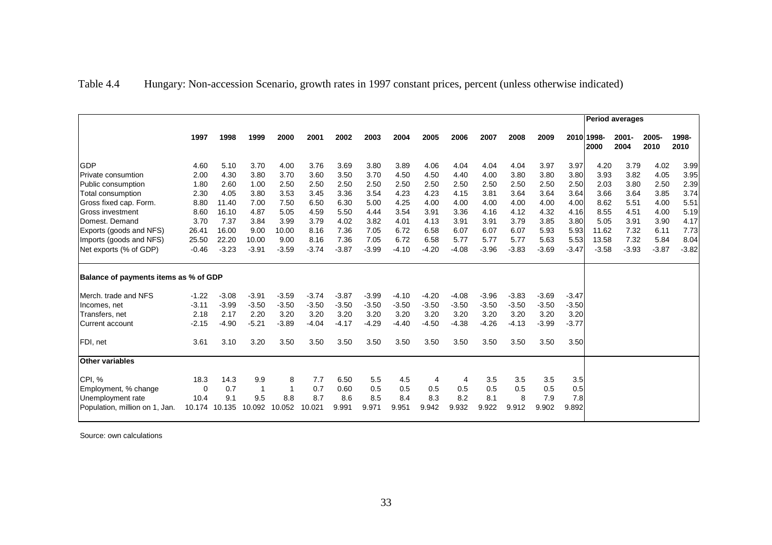| Table 4.4 | Hungary: Non-accession Scenario, growth rates in 1997 constant prices, percent (unless otherwise indicated) |  |  |  |
|-----------|-------------------------------------------------------------------------------------------------------------|--|--|--|
|           |                                                                                                             |  |  |  |

|                                       |          |         |         |         |         |         |         |         |         |         | <b>Period averages</b> |         |         |         |                    |                  |               |               |
|---------------------------------------|----------|---------|---------|---------|---------|---------|---------|---------|---------|---------|------------------------|---------|---------|---------|--------------------|------------------|---------------|---------------|
|                                       | 1997     | 1998    | 1999    | 2000    | 2001    | 2002    | 2003    | 2004    | 2005    | 2006    | 2007                   | 2008    | 2009    |         | 2010 1998-<br>2000 | $2001 -$<br>2004 | 2005-<br>2010 | 1998-<br>2010 |
| <b>GDP</b>                            | 4.60     | 5.10    | 3.70    | 4.00    | 3.76    | 3.69    | 3.80    | 3.89    | 4.06    | 4.04    | 4.04                   | 4.04    | 3.97    | 3.97    | 4.20               | 3.79             | 4.02          | 3.99          |
| Private consumtion                    | 2.00     | 4.30    | 3.80    | 3.70    | 3.60    | 3.50    | 3.70    | 4.50    | 4.50    | 4.40    | 4.00                   | 3.80    | 3.80    | 3.80    | 3.93               | 3.82             | 4.05          | 3.95          |
| Public consumption                    | 1.80     | 2.60    | 1.00    | 2.50    | 2.50    | 2.50    | 2.50    | 2.50    | 2.50    | 2.50    | 2.50                   | 2.50    | 2.50    | 2.50    | 2.03               | 3.80             | 2.50          | 2.39          |
| Total consumption                     | 2.30     | 4.05    | 3.80    | 3.53    | 3.45    | 3.36    | 3.54    | 4.23    | 4.23    | 4.15    | 3.81                   | 3.64    | 3.64    | 3.64    | 3.66               | 3.64             | 3.85          | 3.74          |
| Gross fixed cap. Form.                | 8.80     | 11.40   | 7.00    | 7.50    | 6.50    | 6.30    | 5.00    | 4.25    | 4.00    | 4.00    | 4.00                   | 4.00    | 4.00    | 4.00    | 8.62               | 5.51             | 4.00          | 5.51          |
| <b>IGross investment</b>              | 8.60     | 16.10   | 4.87    | 5.05    | 4.59    | 5.50    | 4.44    | 3.54    | 3.91    | 3.36    | 4.16                   | 4.12    | 4.32    | 4.16    | 8.55               | 4.51             | 4.00          | 5.19          |
| Domest. Demand                        | 3.70     | 7.37    | 3.84    | 3.99    | 3.79    | 4.02    | 3.82    | 4.01    | 4.13    | 3.91    | 3.91                   | 3.79    | 3.85    | 3.80    | 5.05               | 3.91             | 3.90          | 4.17          |
| Exports (goods and NFS)               | 26.41    | 16.00   | 9.00    | 10.00   | 8.16    | 7.36    | 7.05    | 6.72    | 6.58    | 6.07    | 6.07                   | 6.07    | 5.93    | 5.93    | 11.62              | 7.32             | 6.11          | 7.73          |
| Imports (goods and NFS)               | 25.50    | 22.20   | 10.00   | 9.00    | 8.16    | 7.36    | 7.05    | 6.72    | 6.58    | 5.77    | 5.77                   | 5.77    | 5.63    | 5.53    | 13.58              | 7.32             | 5.84          | 8.04          |
| Net exports (% of GDP)                | $-0.46$  | $-3.23$ | $-3.91$ | $-3.59$ | $-3.74$ | $-3.87$ | $-3.99$ | $-4.10$ | $-4.20$ | $-4.08$ | $-3.96$                | $-3.83$ | $-3.69$ | $-3.47$ | $-3.58$            | $-3.93$          | $-3.87$       | $-3.82$       |
| Balance of payments items as % of GDP |          |         |         |         |         |         |         |         |         |         |                        |         |         |         |                    |                  |               |               |
| Merch, trade and NFS                  | $-1.22$  | $-3.08$ | $-3.91$ | $-3.59$ | $-3.74$ | $-3.87$ | $-3.99$ | $-4.10$ | $-4.20$ | $-4.08$ | $-3.96$                | $-3.83$ | $-3.69$ | $-3.47$ |                    |                  |               |               |
| Incomes, net                          | $-3.11$  | $-3.99$ | $-3.50$ | $-3.50$ | $-3.50$ | $-3.50$ | $-3.50$ | $-3.50$ | $-3.50$ | $-3.50$ | $-3.50$                | $-3.50$ | $-3.50$ | $-3.50$ |                    |                  |               |               |
| Transfers, net                        | 2.18     | 2.17    | 2.20    | 3.20    | 3.20    | 3.20    | 3.20    | 3.20    | 3.20    | 3.20    | 3.20                   | 3.20    | 3.20    | 3.20    |                    |                  |               |               |
| lCurrent account                      | $-2.15$  | $-4.90$ | $-5.21$ | $-3.89$ | $-4.04$ | $-4.17$ | $-4.29$ | $-4.40$ | $-4.50$ | $-4.38$ | $-4.26$                | $-4.13$ | $-3.99$ | $-3.77$ |                    |                  |               |               |
| FDI, net                              | 3.61     | 3.10    | 3.20    | 3.50    | 3.50    | 3.50    | 3.50    | 3.50    | 3.50    | 3.50    | 3.50                   | 3.50    | 3.50    | 3.50    |                    |                  |               |               |
| <b>Other variables</b>                |          |         |         |         |         |         |         |         |         |         |                        |         |         |         |                    |                  |               |               |
| <b>CPI, %</b>                         | 18.3     | 14.3    | 9.9     | 8       | 7.7     | 6.50    | 5.5     | 4.5     | 4       | 4       | 3.5                    | 3.5     | 3.5     | 3.5     |                    |                  |               |               |
| Employment, % change                  | $\Omega$ | 0.7     | -1      |         | 0.7     | 0.60    | 0.5     | 0.5     | 0.5     | 0.5     | 0.5                    | 0.5     | 0.5     | 0.5     |                    |                  |               |               |
| Unemployment rate                     | 10.4     | 9.1     | 9.5     | 8.8     | 8.7     | 8.6     | 8.5     | 8.4     | 8.3     | 8.2     | 8.1                    | 8       | 7.9     | 7.8     |                    |                  |               |               |
| Population, million on 1, Jan.        | 10.174   | 10.135  | 10.092  | 10.052  | 10.021  | 9.991   | 9.971   | 9.951   | 9.942   | 9.932   | 9.922                  | 9.912   | 9.902   | 9.892   |                    |                  |               |               |

Source: own calculations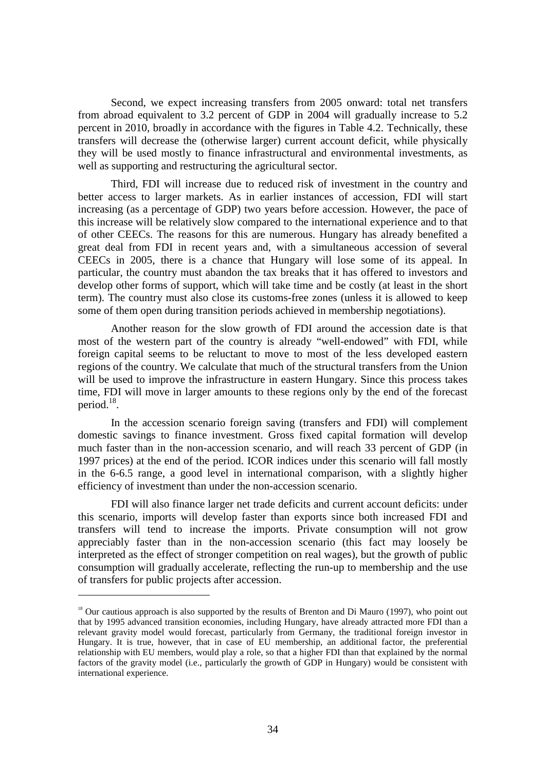Second, we expect increasing transfers from 2005 onward: total net transfers from abroad equivalent to 3.2 percent of GDP in 2004 will gradually increase to 5.2 percent in 2010, broadly in accordance with the figures in Table 4.2. Technically, these transfers will decrease the (otherwise larger) current account deficit, while physically they will be used mostly to finance infrastructural and environmental investments, as well as supporting and restructuring the agricultural sector.

Third, FDI will increase due to reduced risk of investment in the country and better access to larger markets. As in earlier instances of accession, FDI will start increasing (as a percentage of GDP) two years before accession. However, the pace of this increase will be relatively slow compared to the international experience and to that of other CEECs. The reasons for this are numerous. Hungary has already benefited a great deal from FDI in recent years and, with a simultaneous accession of several CEECs in 2005, there is a chance that Hungary will lose some of its appeal. In particular, the country must abandon the tax breaks that it has offered to investors and develop other forms of support, which will take time and be costly (at least in the short term). The country must also close its customs-free zones (unless it is allowed to keep some of them open during transition periods achieved in membership negotiations).

Another reason for the slow growth of FDI around the accession date is that most of the western part of the country is already "well-endowed" with FDI, while foreign capital seems to be reluctant to move to most of the less developed eastern regions of the country. We calculate that much of the structural transfers from the Union will be used to improve the infrastructure in eastern Hungary. Since this process takes time, FDI will move in larger amounts to these regions only by the end of the forecast period.<sup>18</sup>.

In the accession scenario foreign saving (transfers and FDI) will complement domestic savings to finance investment. Gross fixed capital formation will develop much faster than in the non-accession scenario, and will reach 33 percent of GDP (in 1997 prices) at the end of the period. ICOR indices under this scenario will fall mostly in the 6-6.5 range, a good level in international comparison, with a slightly higher efficiency of investment than under the non-accession scenario.

FDI will also finance larger net trade deficits and current account deficits: under this scenario, imports will develop faster than exports since both increased FDI and transfers will tend to increase the imports. Private consumption will not grow appreciably faster than in the non-accession scenario (this fact may loosely be interpreted as the effect of stronger competition on real wages), but the growth of public consumption will gradually accelerate, reflecting the run-up to membership and the use of transfers for public projects after accession.

 $\overline{a}$ 

 $18$  Our cautious approach is also supported by the results of Brenton and Di Mauro (1997), who point out that by 1995 advanced transition economies, including Hungary, have already attracted more FDI than a relevant gravity model would forecast, particularly from Germany, the traditional foreign investor in Hungary. It is true, however, that in case of EU membership, an additional factor, the preferential relationship with EU members, would play a role, so that a higher FDI than that explained by the normal factors of the gravity model (i.e., particularly the growth of GDP in Hungary) would be consistent with international experience.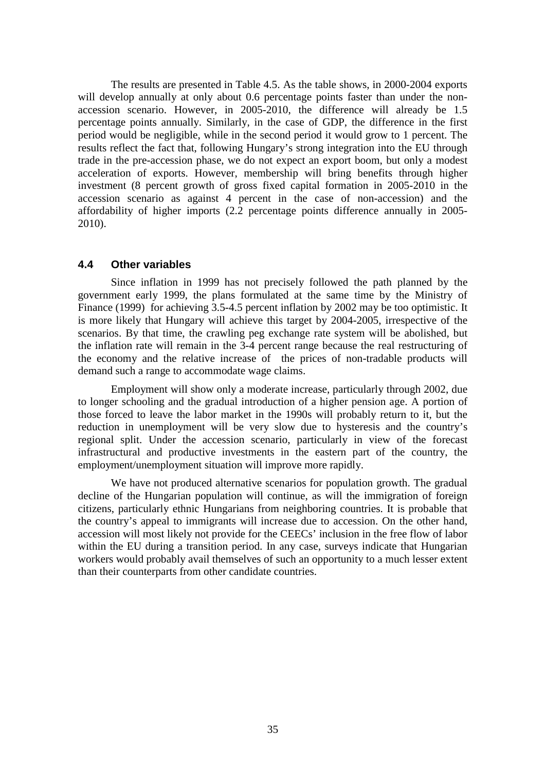The results are presented in Table 4.5. As the table shows, in 2000-2004 exports will develop annually at only about 0.6 percentage points faster than under the nonaccession scenario. However, in 2005-2010, the difference will already be 1.5 percentage points annually. Similarly, in the case of GDP, the difference in the first period would be negligible, while in the second period it would grow to 1 percent. The results reflect the fact that, following Hungary's strong integration into the EU through trade in the pre-accession phase, we do not expect an export boom, but only a modest acceleration of exports. However, membership will bring benefits through higher investment (8 percent growth of gross fixed capital formation in 2005-2010 in the accession scenario as against 4 percent in the case of non-accession) and the affordability of higher imports (2.2 percentage points difference annually in 2005- 2010).

## **4.4 Other variables**

Since inflation in 1999 has not precisely followed the path planned by the government early 1999, the plans formulated at the same time by the Ministry of Finance (1999) for achieving 3.5-4.5 percent inflation by 2002 may be too optimistic. It is more likely that Hungary will achieve this target by 2004-2005, irrespective of the scenarios. By that time, the crawling peg exchange rate system will be abolished, but the inflation rate will remain in the 3-4 percent range because the real restructuring of the economy and the relative increase of the prices of non-tradable products will demand such a range to accommodate wage claims.

Employment will show only a moderate increase, particularly through 2002, due to longer schooling and the gradual introduction of a higher pension age. A portion of those forced to leave the labor market in the 1990s will probably return to it, but the reduction in unemployment will be very slow due to hysteresis and the country's regional split. Under the accession scenario, particularly in view of the forecast infrastructural and productive investments in the eastern part of the country, the employment/unemployment situation will improve more rapidly.

We have not produced alternative scenarios for population growth. The gradual decline of the Hungarian population will continue, as will the immigration of foreign citizens, particularly ethnic Hungarians from neighboring countries. It is probable that the country's appeal to immigrants will increase due to accession. On the other hand, accession will most likely not provide for the CEECs' inclusion in the free flow of labor within the EU during a transition period. In any case, surveys indicate that Hungarian workers would probably avail themselves of such an opportunity to a much lesser extent than their counterparts from other candidate countries.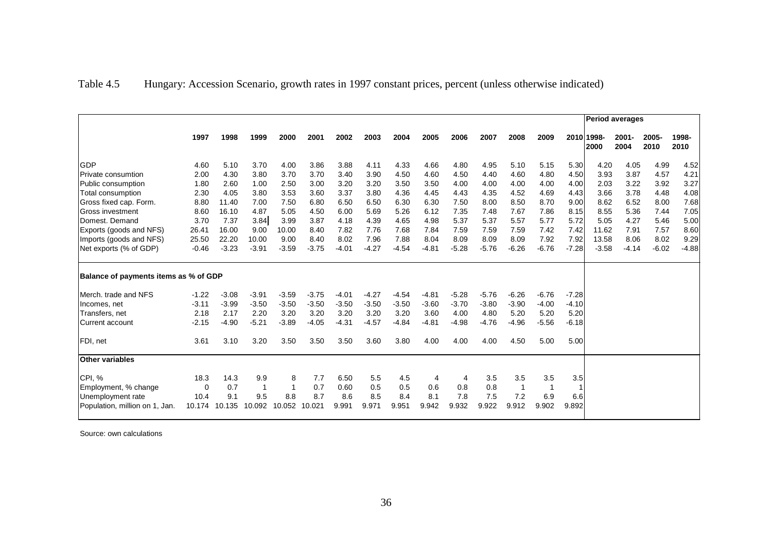| Table 4.5 |  | Hungary: Accession Scenario, growth rates in 1997 constant prices, percent (unless otherwise indicated) |  |  |  |  |
|-----------|--|---------------------------------------------------------------------------------------------------------|--|--|--|--|
|           |  |                                                                                                         |  |  |  |  |

|                                       |          |         |             |         |         |         |         |         |         |         |         |         | <b>Period averages</b> |         |                    |                  |               |               |
|---------------------------------------|----------|---------|-------------|---------|---------|---------|---------|---------|---------|---------|---------|---------|------------------------|---------|--------------------|------------------|---------------|---------------|
|                                       | 1997     | 1998    | 1999        | 2000    | 2001    | 2002    | 2003    | 2004    | 2005    | 2006    | 2007    | 2008    | 2009                   |         | 2010 1998-<br>2000 | $2001 -$<br>2004 | 2005-<br>2010 | 1998-<br>2010 |
| <b>GDP</b>                            | 4.60     | 5.10    | 3.70        | 4.00    | 3.86    | 3.88    | 4.11    | 4.33    | 4.66    | 4.80    | 4.95    | 5.10    | 5.15                   | 5.30    | 4.20               | 4.05             | 4.99          | 4.52          |
| <b>Private consumtion</b>             | 2.00     | 4.30    | 3.80        | 3.70    | 3.70    | 3.40    | 3.90    | 4.50    | 4.60    | 4.50    | 4.40    | 4.60    | 4.80                   | 4.50    | 3.93               | 3.87             | 4.57          | 4.21          |
| Public consumption                    | 1.80     | 2.60    | 1.00        | 2.50    | 3.00    | 3.20    | 3.20    | 3.50    | 3.50    | 4.00    | 4.00    | 4.00    | 4.00                   | 4.00    | 2.03               | 3.22             | 3.92          | 3.27          |
| Total consumption                     | 2.30     | 4.05    | 3.80        | 3.53    | 3.60    | 3.37    | 3.80    | 4.36    | 4.45    | 4.43    | 4.35    | 4.52    | 4.69                   | 4.43    | 3.66               | 3.78             | 4.48          | 4.08          |
| Gross fixed cap. Form.                | 8.80     | 11.40   | 7.00        | 7.50    | 6.80    | 6.50    | 6.50    | 6.30    | 6.30    | 7.50    | 8.00    | 8.50    | 8.70                   | 9.00    | 8.62               | 6.52             | 8.00          | 7.68          |
| <b>IGross investment</b>              | 8.60     | 16.10   | 4.87        | 5.05    | 4.50    | 6.00    | 5.69    | 5.26    | 6.12    | 7.35    | 7.48    | 7.67    | 7.86                   | 8.15    | 8.55               | 5.36             | 7.44          | 7.05          |
| Domest. Demand                        | 3.70     | 7.37    | 3.84        | 3.99    | 3.87    | 4.18    | 4.39    | 4.65    | 4.98    | 5.37    | 5.37    | 5.57    | 5.77                   | 5.72    | 5.05               | 4.27             | 5.46          | 5.00          |
| Exports (goods and NFS)               | 26.41    | 16.00   | 9.00        | 10.00   | 8.40    | 7.82    | 7.76    | 7.68    | 7.84    | 7.59    | 7.59    | 7.59    | 7.42                   | 7.42    | 11.62              | 7.91             | 7.57          | 8.60          |
| Imports (goods and NFS)               | 25.50    | 22.20   | 10.00       | 9.00    | 8.40    | 8.02    | 7.96    | 7.88    | 8.04    | 8.09    | 8.09    | 8.09    | 7.92                   | 7.92    | 13.58              | 8.06             | 8.02          | 9.29          |
| Net exports (% of GDP)                | $-0.46$  | $-3.23$ | $-3.91$     | $-3.59$ | $-3.75$ | $-4.01$ | $-4.27$ | $-4.54$ | $-4.81$ | $-5.28$ | $-5.76$ | $-6.26$ | $-6.76$                | $-7.28$ | $-3.58$            | $-4.14$          | $-6.02$       | $-4.88$       |
| Balance of payments items as % of GDP |          |         |             |         |         |         |         |         |         |         |         |         |                        |         |                    |                  |               |               |
| Merch, trade and NFS                  | $-1.22$  | $-3.08$ | $-3.91$     | $-3.59$ | $-3.75$ | $-4.01$ | $-4.27$ | $-4.54$ | $-4.81$ | $-5.28$ | $-5.76$ | $-6.26$ | $-6.76$                | $-7.28$ |                    |                  |               |               |
| Incomes, net                          | $-3.11$  | $-3.99$ | $-3.50$     | $-3.50$ | $-3.50$ | $-3.50$ | $-3.50$ | $-3.50$ | $-3.60$ | $-3.70$ | $-3.80$ | $-3.90$ | $-4.00$                | $-4.10$ |                    |                  |               |               |
| Transfers, net                        | 2.18     | 2.17    | 2.20        | 3.20    | 3.20    | 3.20    | 3.20    | 3.20    | 3.60    | 4.00    | 4.80    | 5.20    | 5.20                   | 5.20    |                    |                  |               |               |
| lCurrent account                      | $-2.15$  | $-4.90$ | $-5.21$     | $-3.89$ | $-4.05$ | $-4.31$ | $-4.57$ | $-4.84$ | $-4.81$ | $-4.98$ | $-4.76$ | $-4.96$ | $-5.56$                | $-6.18$ |                    |                  |               |               |
| FDI, net                              | 3.61     | 3.10    | 3.20        | 3.50    | 3.50    | 3.50    | 3.60    | 3.80    | 4.00    | 4.00    | 4.00    | 4.50    | 5.00                   | 5.00    |                    |                  |               |               |
| <b>Other variables</b>                |          |         |             |         |         |         |         |         |         |         |         |         |                        |         |                    |                  |               |               |
| CPI, %                                | 18.3     | 14.3    | 9.9         | 8       | 7.7     | 6.50    | 5.5     | 4.5     | 4       | 4       | 3.5     | 3.5     | 3.5                    | 3.5     |                    |                  |               |               |
| Employment, % change                  | $\Omega$ | 0.7     | $\mathbf 1$ |         | 0.7     | 0.60    | 0.5     | 0.5     | 0.6     | 0.8     | 0.8     | -1      |                        |         |                    |                  |               |               |
| Unemployment rate                     | 10.4     | 9.1     | 9.5         | 8.8     | 8.7     | 8.6     | 8.5     | 8.4     | 8.1     | 7.8     | 7.5     | 7.2     | 6.9                    | 6.6     |                    |                  |               |               |
| Population, million on 1, Jan.        | 10.174   | 10.135  | 10.092      | 10.052  | 10.021  | 9.991   | 9.971   | 9.951   | 9.942   | 9.932   | 9.922   | 9.912   | 9.902                  | 9.892   |                    |                  |               |               |

Source: own calculations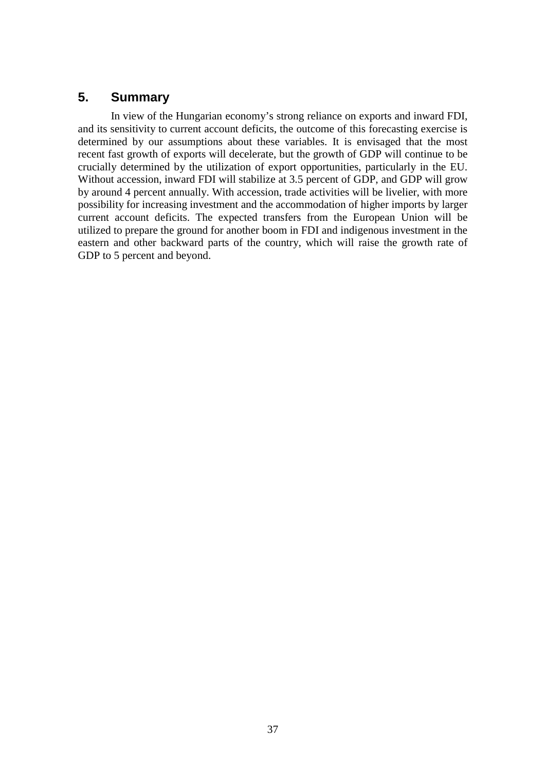## **5. Summary**

In view of the Hungarian economy's strong reliance on exports and inward FDI, and its sensitivity to current account deficits, the outcome of this forecasting exercise is determined by our assumptions about these variables. It is envisaged that the most recent fast growth of exports will decelerate, but the growth of GDP will continue to be crucially determined by the utilization of export opportunities, particularly in the EU. Without accession, inward FDI will stabilize at 3.5 percent of GDP, and GDP will grow by around 4 percent annually. With accession, trade activities will be livelier, with more possibility for increasing investment and the accommodation of higher imports by larger current account deficits. The expected transfers from the European Union will be utilized to prepare the ground for another boom in FDI and indigenous investment in the eastern and other backward parts of the country, which will raise the growth rate of GDP to 5 percent and beyond.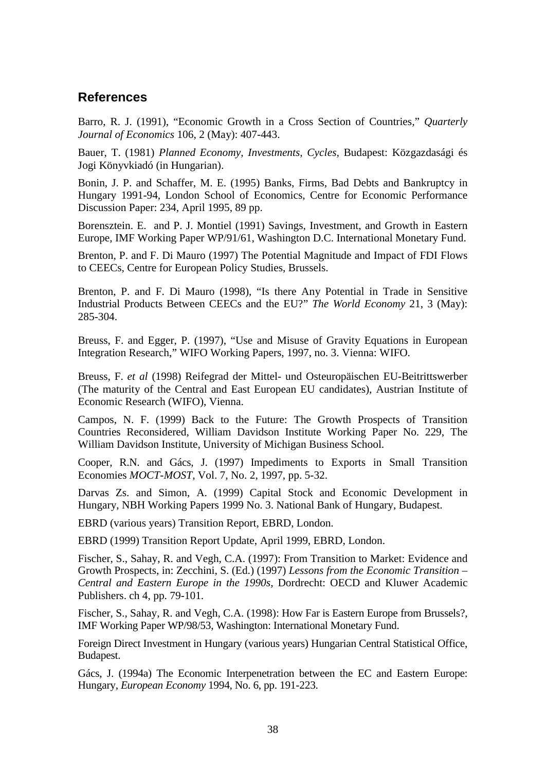## **References**

Barro, R. J. (1991), "Economic Growth in a Cross Section of Countries*,*" *Quarterly Journal of Economics* 106, 2 (May): 407-443.

Bauer, T. (1981) *Planned Economy, Investments, Cycles,* Budapest: Közgazdasági és Jogi Könyvkiadó (in Hungarian).

Bonin, J. P. and Schaffer, M. E. (1995) Banks, Firms, Bad Debts and Bankruptcy in Hungary 1991-94, London School of Economics, Centre for Economic Performance Discussion Paper: 234, April 1995, 89 pp.

Borensztein. E. and P. J. Montiel (1991) Savings, Investment, and Growth in Eastern Europe, IMF Working Paper WP/91/61, Washington D.C. International Monetary Fund.

Brenton, P. and F. Di Mauro (1997) The Potential Magnitude and Impact of FDI Flows to CEECs, Centre for European Policy Studies, Brussels.

Brenton, P. and F. Di Mauro (1998), "Is there Any Potential in Trade in Sensitive Industrial Products Between CEECs and the EU?" *The World Economy* 21, 3 (May): 285-304.

Breuss, F. and Egger, P. (1997), "Use and Misuse of Gravity Equations in European Integration Research," WIFO Working Papers, 1997, no. 3. Vienna: WIFO.

Breuss, F. *et al* (1998) Reifegrad der Mittel- und Osteuropäischen EU-Beitrittswerber (The maturity of the Central and East European EU candidates), Austrian Institute of Economic Research (WIFO), Vienna.

Campos, N. F. (1999) Back to the Future: The Growth Prospects of Transition Countries Reconsidered, William Davidson Institute Working Paper No. 229, The William Davidson Institute, University of Michigan Business School.

Cooper, R.N. and Gács, J. (1997) Impediments to Exports in Small Transition Economies *MOCT-MOST*, Vol. 7, No. 2, 1997, pp. 5-32.

Darvas Zs. and Simon, A. (1999) Capital Stock and Economic Development in Hungary, NBH Working Papers 1999 No. 3. National Bank of Hungary, Budapest.

EBRD (various years) Transition Report, EBRD, London.

EBRD (1999) Transition Report Update, April 1999, EBRD, London.

Fischer, S., Sahay, R. and Vegh, C.A. (1997): From Transition to Market: Evidence and Growth Prospects, in: Zecchini, S. (Ed.) (1997) *Lessons from the Economic Transition – Central and Eastern Europe in the 1990s*, Dordrecht: OECD and Kluwer Academic Publishers. ch 4, pp. 79-101.

Fischer, S., Sahay, R. and Vegh, C.A. (1998): How Far is Eastern Europe from Brussels?, IMF Working Paper WP/98/53, Washington: International Monetary Fund.

Foreign Direct Investment in Hungary (various years) Hungarian Central Statistical Office, Budapest.

Gács, J. (1994a) The Economic Interpenetration between the EC and Eastern Europe: Hungary, *European Economy* 1994, No. 6, pp. 191-223.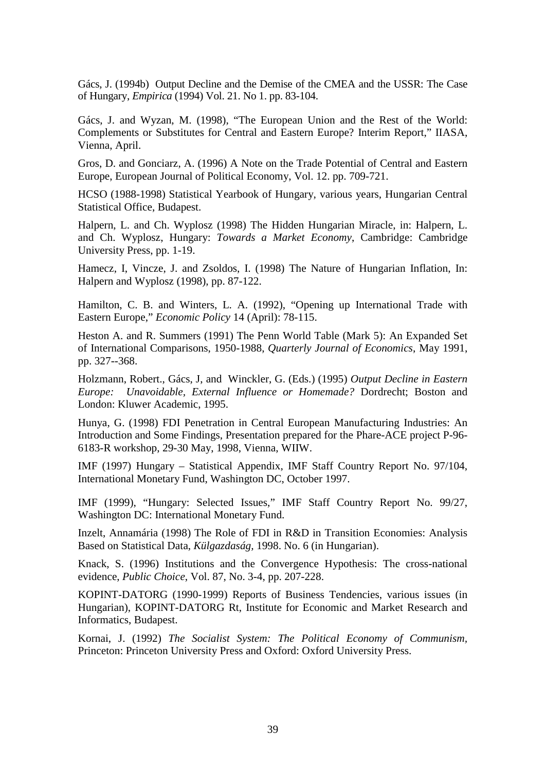Gács, J. (1994b) Output Decline and the Demise of the CMEA and the USSR: The Case of Hungary, *Empirica* (1994) Vol. 21. No 1. pp. 83-104.

Gács, J. and Wyzan, M. (1998), "The European Union and the Rest of the World: Complements or Substitutes for Central and Eastern Europe? Interim Report," IIASA, Vienna, April.

Gros, D. and Gonciarz, A. (1996) A Note on the Trade Potential of Central and Eastern Europe, European Journal of Political Economy, Vol. 12. pp. 709-721.

HCSO (1988-1998) Statistical Yearbook of Hungary, various years, Hungarian Central Statistical Office, Budapest.

Halpern, L. and Ch. Wyplosz (1998) The Hidden Hungarian Miracle, in: Halpern, L. and Ch. Wyplosz, Hungary: *Towards a Market Economy*, Cambridge: Cambridge University Press, pp. 1-19.

Hamecz, I, Vincze, J. and Zsoldos, I. (1998) The Nature of Hungarian Inflation, In: Halpern and Wyplosz (1998), pp. 87-122.

Hamilton, C. B. and Winters, L. A. (1992), "Opening up International Trade with Eastern Europe," *Economic Policy* 14 (April): 78-115.

Heston A. and R. Summers (1991) The Penn World Table (Mark 5): An Expanded Set of International Comparisons, 1950-1988, *Quarterly Journal of Economics*, May 1991, pp. 327--368.

Holzmann, Robert., Gács, J, and Winckler, G. (Eds.) (1995) *Output Decline in Eastern Europe: Unavoidable, External Influence or Homemade?* Dordrecht; Boston and London: Kluwer Academic, 1995.

Hunya, G. (1998) FDI Penetration in Central European Manufacturing Industries: An Introduction and Some Findings, Presentation prepared for the Phare-ACE project P-96- 6183-R workshop, 29-30 May, 1998, Vienna, WIIW.

IMF (1997) Hungary – Statistical Appendix, IMF Staff Country Report No. 97/104, International Monetary Fund, Washington DC, October 1997.

IMF (1999), "Hungary: Selected Issues," IMF Staff Country Report No. 99/27, Washington DC: International Monetary Fund.

Inzelt, Annamária (1998) The Role of FDI in R&D in Transition Economies: Analysis Based on Statistical Data, *Külgazdaság,* 1998. No. 6 (in Hungarian).

Knack, S. (1996) Institutions and the Convergence Hypothesis: The cross-national evidence, *Public Choice*, Vol. 87, No. 3-4, pp. 207-228.

KOPINT-DATORG (1990-1999) Reports of Business Tendencies, various issues (in Hungarian), KOPINT-DATORG Rt, Institute for Economic and Market Research and Informatics, Budapest.

Kornai, J. (1992) *The Socialist System: The Political Economy of Communism,* Princeton: Princeton University Press and Oxford: Oxford University Press.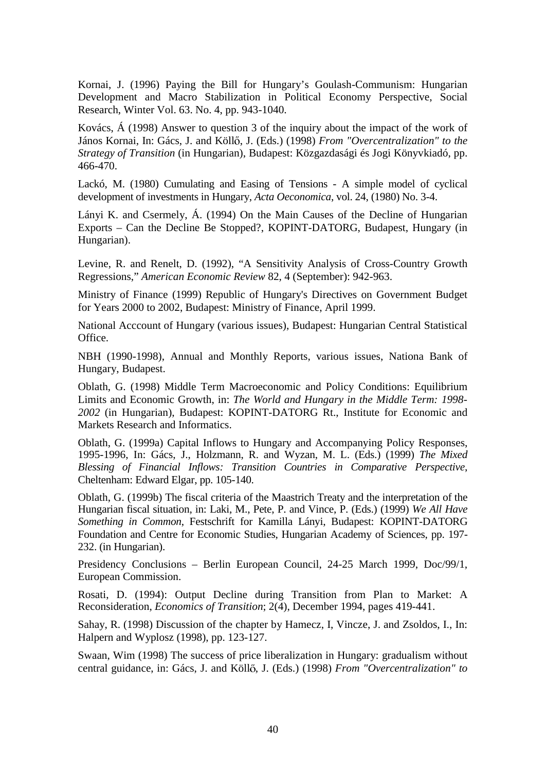Kornai, J. (1996) Paying the Bill for Hungary's Goulash-Communism: Hungarian Development and Macro Stabilization in Political Economy Perspective, Social Research, Winter Vol. 63. No. 4, pp. 943-1040.

Kovács, Á (1998) Answer to question 3 of the inquiry about the impact of the work of János Kornai, In: Gács, J. and Köllő, J. (Eds.) (1998) *From "Overcentralization" to the Strategy of Transition* (in Hungarian), Budapest: Közgazdasági és Jogi Könyvkiadó, pp. 466-470.

Lackó, M. (1980) Cumulating and Easing of Tensions - A simple model of cyclical development of investments in Hungary, *Acta Oeconomica*, vol. 24, (1980) No. 3-4.

Lányi K. and Csermely, Á. (1994) On the Main Causes of the Decline of Hungarian Exports – Can the Decline Be Stopped?, KOPINT-DATORG, Budapest, Hungary (in Hungarian).

Levine, R. and Renelt, D. (1992), "A Sensitivity Analysis of Cross-Country Growth Regressions," *American Economic Review* 82, 4 (September): 942-963.

Ministry of Finance (1999) Republic of Hungary's Directives on Government Budget for Years 2000 to 2002, Budapest: Ministry of Finance, April 1999.

National Acccount of Hungary (various issues), Budapest: Hungarian Central Statistical Office.

NBH (1990-1998), Annual and Monthly Reports, various issues, Nationa Bank of Hungary, Budapest.

Oblath, G. (1998) Middle Term Macroeconomic and Policy Conditions: Equilibrium Limits and Economic Growth, in: *The World and Hungary in the Middle Term: 1998- 2002* (in Hungarian), Budapest: KOPINT-DATORG Rt., Institute for Economic and Markets Research and Informatics.

Oblath, G. (1999a) Capital Inflows to Hungary and Accompanying Policy Responses, 1995-1996, In: Gács, J., Holzmann, R. and Wyzan, M. L. (Eds.) (1999) *The Mixed Blessing of Financial Inflows: Transition Countries in Comparative Perspective*, Cheltenham: Edward Elgar, pp. 105-140.

Oblath, G. (1999b) The fiscal criteria of the Maastrich Treaty and the interpretation of the Hungarian fiscal situation, in: Laki, M., Pete, P. and Vince, P. (Eds.) (1999) *We All Have Something in Common*, Festschrift for Kamilla Lányi, Budapest: KOPINT-DATORG Foundation and Centre for Economic Studies, Hungarian Academy of Sciences, pp. 197- 232. (in Hungarian).

Presidency Conclusions – Berlin European Council, 24-25 March 1999, Doc/99/1, European Commission.

Rosati, D. (1994): Output Decline during Transition from Plan to Market: A Reconsideration, *Economics of Transition*; 2(4), December 1994, pages 419-441.

Sahay, R. (1998) Discussion of the chapter by Hamecz, I, Vincze, J. and Zsoldos, I., In: Halpern and Wyplosz (1998), pp. 123-127.

Swaan, Wim (1998) The success of price liberalization in Hungary: gradualism without central guidance, in: Gács, J. and Köllő, J. (Eds.) (1998) *From "Overcentralization" to*